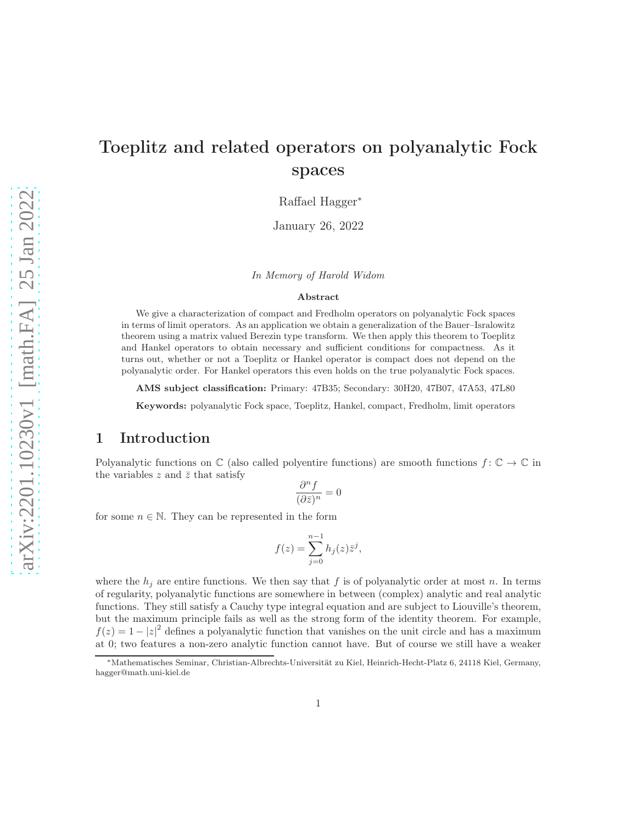# Toeplitz and related operators on polyanalytic Fock spaces

Raffael Hagger<sup>∗</sup>

January 26, 2022

In Memory of Harold Widom

#### Abstract

We give a characterization of compact and Fredholm operators on polyanalytic Fock spaces in terms of limit operators. As an application we obtain a generalization of the Bauer–Isralowitz theorem using a matrix valued Berezin type transform. We then apply this theorem to Toeplitz and Hankel operators to obtain necessary and sufficient conditions for compactness. As it turns out, whether or not a Toeplitz or Hankel operator is compact does not depend on the polyanalytic order. For Hankel operators this even holds on the true polyanalytic Fock spaces.

AMS subject classification: Primary: 47B35; Secondary: 30H20, 47B07, 47A53, 47L80

Keywords: polyanalytic Fock space, Toeplitz, Hankel, compact, Fredholm, limit operators

#### 1 Introduction

Polyanalytic functions on  $\mathbb C$  (also called polyentire functions) are smooth functions  $f: \mathbb C \to \mathbb C$  in the variables  $z$  and  $\bar{z}$  that satisfy

$$
\frac{\partial^n f}{(\partial \bar{z})^n} = 0
$$

for some  $n \in \mathbb{N}$ . They can be represented in the form

$$
f(z) = \sum_{j=0}^{n-1} h_j(z) \overline{z}^j,
$$

where the  $h_j$  are entire functions. We then say that f is of polyanalytic order at most n. In terms of regularity, polyanalytic functions are somewhere in between (complex) analytic and real analytic functions. They still satisfy a Cauchy type integral equation and are subject to Liouville's theorem, but the maximum principle fails as well as the strong form of the identity theorem. For example,  $f(z) = 1 - |z|^2$  defines a polyanalytic function that vanishes on the unit circle and has a maximum at 0; two features a non-zero analytic function cannot have. But of course we still have a weaker

<sup>∗</sup>Mathematisches Seminar, Christian-Albrechts-Universität zu Kiel, Heinrich-Hecht-Platz 6, 24118 Kiel, Germany, hagger@math.uni-kiel.de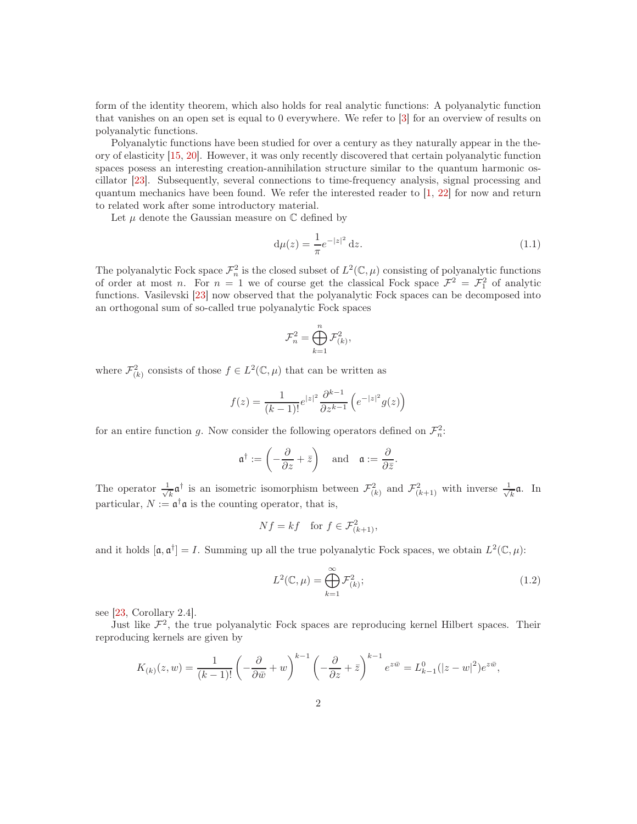form of the identity theorem, which also holds for real analytic functions: A polyanalytic function that vanishes on an open set is equal to 0 everywhere. We refer to [\[3\]](#page-18-0) for an overview of results on polyanalytic functions.

Polyanalytic functions have been studied for over a century as they naturally appear in the theory of elasticity [\[15,](#page-19-0) [20\]](#page-19-1). However, it was only recently discovered that certain polyanalytic function spaces posess an interesting creation-annihilation structure similar to the quantum harmonic oscillator [\[23\]](#page-19-2). Subsequently, several connections to time-frequency analysis, signal processing and quantum mechanics have been found. We refer the interested reader to [\[1,](#page-18-1) [22\]](#page-19-3) for now and return to related work after some introductory material.

Let  $\mu$  denote the Gaussian measure on  $\mathbb C$  defined by

<span id="page-1-1"></span>
$$
d\mu(z) = \frac{1}{\pi} e^{-|z|^2} dz.
$$
 (1.1)

The polyanalytic Fock space  $\mathcal{F}_n^2$  is the closed subset of  $L^2(\mathbb{C}, \mu)$  consisting of polyanalytic functions of order at most n. For  $n = 1$  we of course get the classical Fock space  $\mathcal{F}^2 = \mathcal{F}^2_1$  of analytic functions. Vasilevski [\[23\]](#page-19-2) now observed that the polyanalytic Fock spaces can be decomposed into an orthogonal sum of so-called true polyanalytic Fock spaces

$$
\mathcal{F}_n^2 = \bigoplus_{k=1}^n \mathcal{F}_{(k)}^2,
$$

where  $\mathcal{F}_{(k)}^2$  consists of those  $f \in L^2(\mathbb{C}, \mu)$  that can be written as

$$
f(z) = \frac{1}{(k-1)!} e^{|z|^2} \frac{\partial^{k-1}}{\partial z^{k-1}} \left( e^{-|z|^2} g(z) \right)
$$

for an entire function g. Now consider the following operators defined on  $\mathcal{F}_n^2$ .

$$
\mathfrak{a}^\dagger := \left(-\frac{\partial}{\partial z} + \bar{z}\right) \quad \text{and} \quad \mathfrak{a} := \frac{\partial}{\partial \bar{z}}.
$$

The operator  $\frac{1}{\sqrt{2}}$  $\frac{1}{k} \mathfrak{a}^{\dagger}$  is an isometric isomorphism between  $\mathcal{F}^2_{(k)}$  and  $\mathcal{F}^2_{(k+1)}$  with inverse  $\frac{1}{\sqrt{k}}$  $\frac{1}{k}$ a. In particular,  $N := \mathfrak{a}^{\dagger} \mathfrak{a}$  is the counting operator, that is,

$$
Nf = kf \quad \text{for } f \in \mathcal{F}_{(k+1)}^2,
$$

and it holds  $[\mathfrak{a}, \mathfrak{a}^\dagger] = I$ . Summing up all the true polyanalytic Fock spaces, we obtain  $L^2(\mathbb{C}, \mu)$ :

<span id="page-1-0"></span>
$$
L^{2}(\mathbb{C},\mu) = \bigoplus_{k=1}^{\infty} \mathcal{F}_{(k)}^{2};
$$
\n(1.2)

see [\[23,](#page-19-2) Corollary 2.4].

Just like  $\mathcal{F}^2$ , the true polyanalytic Fock spaces are reproducing kernel Hilbert spaces. Their reproducing kernels are given by

$$
K_{(k)}(z,w) = \frac{1}{(k-1)!} \left(-\frac{\partial}{\partial \bar{w}} + w\right)^{k-1} \left(-\frac{\partial}{\partial z} + \bar{z}\right)^{k-1} e^{z\bar{w}} = L_{k-1}^0(|z-w|^2) e^{z\bar{w}},
$$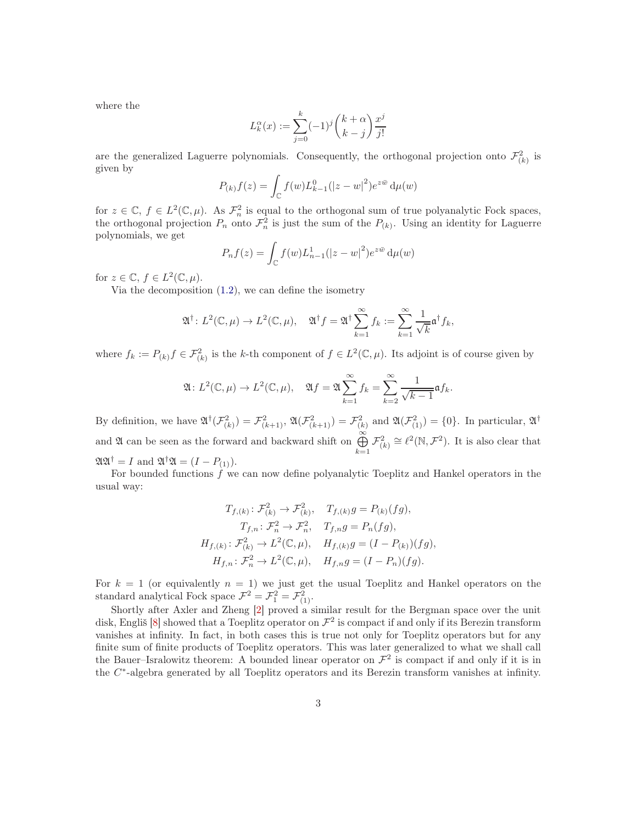where the

$$
L_k^{\alpha}(x) := \sum_{j=0}^k (-1)^j \binom{k+\alpha}{k-j} \frac{x^j}{j!}
$$

are the generalized Laguerre polynomials. Consequently, the orthogonal projection onto  $\mathcal{F}^2_{(k)}$  is given by

$$
P_{(k)}f(z) = \int_{\mathbb{C}} f(w)L_{k-1}^{0}(|z-w|^{2})e^{z\bar{w}} d\mu(w)
$$

for  $z \in \mathbb{C}$ ,  $f \in L^2(\mathbb{C}, \mu)$ . As  $\mathcal{F}_n^2$  is equal to the orthogonal sum of true polyanalytic Fock spaces, the orthogonal projection  $P_n$  onto  $\mathcal{F}_n^2$  is just the sum of the  $P_{(k)}$ . Using an identity for Laguerre polynomials, we get

$$
P_n f(z) = \int_{\mathbb{C}} f(w) L_{n-1}^1 (|z - w|^2) e^{z \bar{w}} d\mu(w)
$$

for  $z \in \mathbb{C}$ ,  $f \in L^2(\mathbb{C}, \mu)$ .

Via the decomposition [\(1.2\)](#page-1-0), we can define the isometry

$$
\mathfrak{A}^{\dagger} \colon L^{2}(\mathbb{C}, \mu) \to L^{2}(\mathbb{C}, \mu), \quad \mathfrak{A}^{\dagger} f = \mathfrak{A}^{\dagger} \sum_{k=1}^{\infty} f_{k} := \sum_{k=1}^{\infty} \frac{1}{\sqrt{k}} \mathfrak{a}^{\dagger} f_{k},
$$

where  $f_k := P_{(k)} f \in \mathcal{F}_{(k)}^2$  is the k-th component of  $f \in L^2(\mathbb{C}, \mu)$ . Its adjoint is of course given by

$$
\mathfrak{A}\colon L^2(\mathbb{C},\mu)\to L^2(\mathbb{C},\mu),\quad \mathfrak{A}f=\mathfrak{A}\sum_{k=1}^{\infty}f_k=\sum_{k=2}^{\infty}\frac{1}{\sqrt{k-1}}\mathfrak{a}f_k.
$$

By definition, we have  $\mathfrak{A}^{\dagger}(\mathcal{F}_{(k)}^2) = \mathcal{F}_{(k+1)}^2$ ,  $\mathfrak{A}(\mathcal{F}_{(k+1)}^2) = \mathcal{F}_{(k)}^2$  and  $\mathfrak{A}(\mathcal{F}_{(1)}^2) = \{0\}$ . In particular,  $\mathfrak{A}^{\dagger}$ and  $\mathfrak A$  can be seen as the forward and backward shift on  $\bigoplus^{\infty}$  $\bigoplus_{k=1}^{\infty} \mathcal{F}_{(k)}^2 \cong \ell^2(\mathbb{N}, \mathcal{F}^2)$ . It is also clear that  $\mathfrak{A}\mathfrak{A}^{\dagger} = I$  and  $\mathfrak{A}^{\dagger}\mathfrak{A} = (I - P_{(1)}).$ 

For bounded functions  $f$  we can now define polyanalytic Toeplitz and Hankel operators in the usual way:

$$
T_{f,(k)}: \mathcal{F}_{(k)}^2 \to \mathcal{F}_{(k)}^2, \quad T_{f,(k)}g = P_{(k)}(fg),
$$
  
\n
$$
T_{f,n}: \mathcal{F}_n^2 \to \mathcal{F}_n^2, \quad T_{f,n}g = P_n(fg),
$$
  
\n
$$
H_{f,(k)}: \mathcal{F}_{(k)}^2 \to L^2(\mathbb{C}, \mu), \quad H_{f,(k)}g = (I - P_{(k)})(fg),
$$
  
\n
$$
H_{f,n}: \mathcal{F}_n^2 \to L^2(\mathbb{C}, \mu), \quad H_{f,n}g = (I - P_n)(fg).
$$

For  $k = 1$  (or equivalently  $n = 1$ ) we just get the usual Toeplitz and Hankel operators on the standard analytical Fock space  $\mathcal{F}^2 = \mathcal{F}^2_1 = \mathcal{F}^2_{(1)}$ .

Shortly after Axler and Zheng [\[2\]](#page-18-2) proved a similar result for the Bergman space over the unit disk, Engliš  $[8]$  showed that a Toeplitz operator on  $\mathcal{F}^2$  is compact if and only if its Berezin transform vanishes at infinity. In fact, in both cases this is true not only for Toeplitz operators but for any finite sum of finite products of Toeplitz operators. This was later generalized to what we shall call the Bauer–Isralowitz theorem: A bounded linear operator on  $\mathcal{F}^2$  is compact if and only if it is in the C ∗ -algebra generated by all Toeplitz operators and its Berezin transform vanishes at infinity.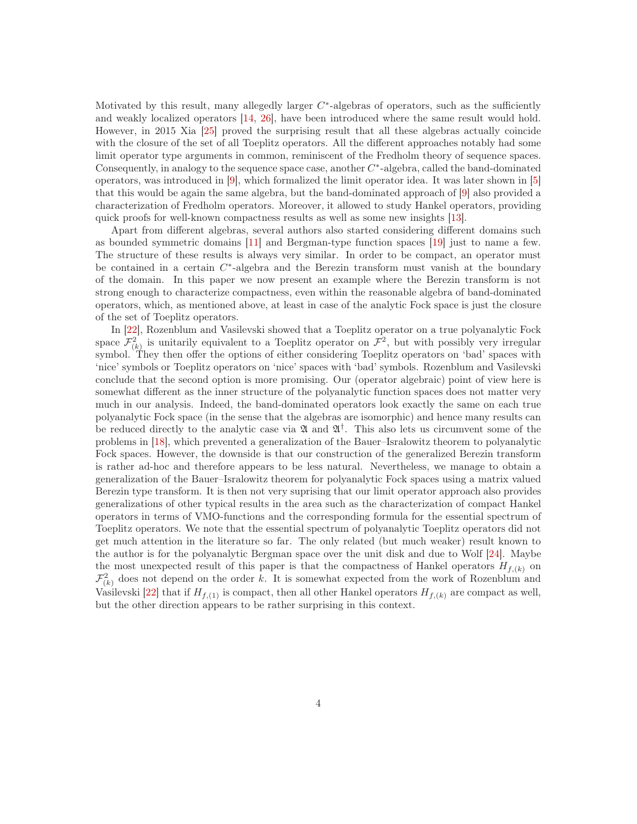Motivated by this result, many allegedly larger  $C^*$ -algebras of operators, such as the sufficiently and weakly localized operators [\[14,](#page-19-4) [26\]](#page-19-5), have been introduced where the same result would hold. However, in 2015 Xia [\[25\]](#page-19-6) proved the surprising result that all these algebras actually coincide with the closure of the set of all Toeplitz operators. All the different approaches notably had some limit operator type arguments in common, reminiscent of the Fredholm theory of sequence spaces. Consequently, in analogy to the sequence space case, another  $C^*$ -algebra, called the band-dominated operators, was introduced in [\[9\]](#page-18-4), which formalized the limit operator idea. It was later shown in [\[5\]](#page-18-5) that this would be again the same algebra, but the band-dominated approach of [\[9\]](#page-18-4) also provided a characterization of Fredholm operators. Moreover, it allowed to study Hankel operators, providing quick proofs for well-known compactness results as well as some new insights [\[13\]](#page-18-6).

Apart from different algebras, several authors also started considering different domains such as bounded symmetric domains [\[11\]](#page-18-7) and Bergman-type function spaces [\[19\]](#page-19-7) just to name a few. The structure of these results is always very similar. In order to be compact, an operator must be contained in a certain  $C^*$ -algebra and the Berezin transform must vanish at the boundary of the domain. In this paper we now present an example where the Berezin transform is not strong enough to characterize compactness, even within the reasonable algebra of band-dominated operators, which, as mentioned above, at least in case of the analytic Fock space is just the closure of the set of Toeplitz operators.

In [\[22\]](#page-19-3), Rozenblum and Vasilevski showed that a Toeplitz operator on a true polyanalytic Fock space  $\mathcal{F}_{(k)}^2$  is unitarily equivalent to a Toeplitz operator on  $\mathcal{F}^2$ , but with possibly very irregular symbol. They then offer the options of either considering Toeplitz operators on 'bad' spaces with 'nice' symbols or Toeplitz operators on 'nice' spaces with 'bad' symbols. Rozenblum and Vasilevski conclude that the second option is more promising. Our (operator algebraic) point of view here is somewhat different as the inner structure of the polyanalytic function spaces does not matter very much in our analysis. Indeed, the band-dominated operators look exactly the same on each true polyanalytic Fock space (in the sense that the algebras are isomorphic) and hence many results can be reduced directly to the analytic case via  $\mathfrak A$  and  $\mathfrak A^{\dagger}$ . This also lets us circumvent some of the problems in [\[18\]](#page-19-8), which prevented a generalization of the Bauer–Isralowitz theorem to polyanalytic Fock spaces. However, the downside is that our construction of the generalized Berezin transform is rather ad-hoc and therefore appears to be less natural. Nevertheless, we manage to obtain a generalization of the Bauer–Isralowitz theorem for polyanalytic Fock spaces using a matrix valued Berezin type transform. It is then not very suprising that our limit operator approach also provides generalizations of other typical results in the area such as the characterization of compact Hankel operators in terms of VMO-functions and the corresponding formula for the essential spectrum of Toeplitz operators. We note that the essential spectrum of polyanalytic Toeplitz operators did not get much attention in the literature so far. The only related (but much weaker) result known to the author is for the polyanalytic Bergman space over the unit disk and due to Wolf [\[24\]](#page-19-9). Maybe the most unexpected result of this paper is that the compactness of Hankel operators  $H_{f,(k)}$  on  $\mathcal{F}_{(k)}^2$  does not depend on the order k. It is somewhat expected from the work of Rozenblum and Vasilevski [\[22\]](#page-19-3) that if  $H_{f,(1)}$  is compact, then all other Hankel operators  $H_{f,(k)}$  are compact as well, but the other direction appears to be rather surprising in this context.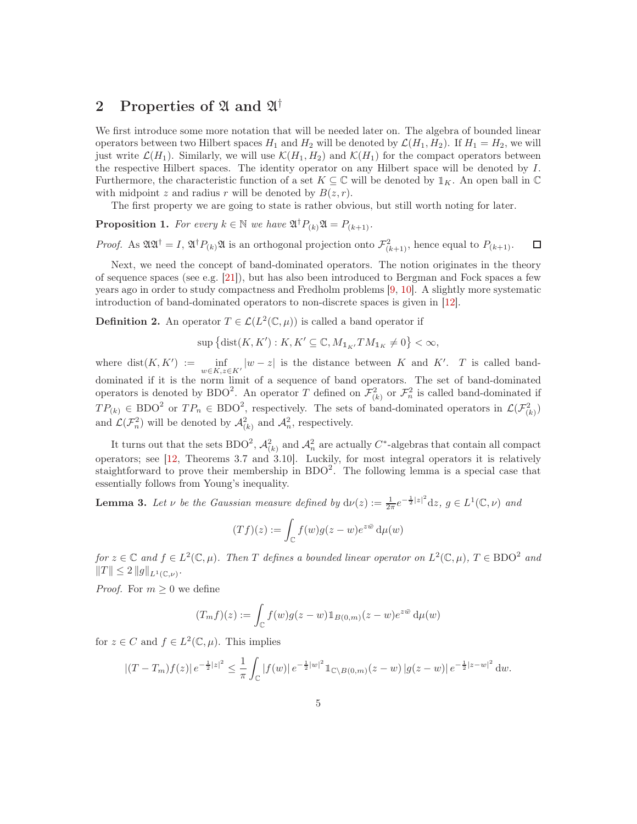## 2 Properties of  $\mathfrak A$  and  $\mathfrak A^\dagger$

We first introduce some more notation that will be needed later on. The algebra of bounded linear operators between two Hilbert spaces  $H_1$  and  $H_2$  will be denoted by  $\mathcal{L}(H_1, H_2)$ . If  $H_1 = H_2$ , we will just write  $\mathcal{L}(H_1)$ . Similarly, we will use  $\mathcal{K}(H_1, H_2)$  and  $\mathcal{K}(H_1)$  for the compact operators between the respective Hilbert spaces. The identity operator on any Hilbert space will be denoted by I. Furthermore, the characteristic function of a set  $K \subseteq \mathbb{C}$  will be denoted by  $\mathbb{1}_K$ . An open ball in  $\mathbb{C}$ with midpoint z and radius r will be denoted by  $B(z, r)$ .

The first property we are going to state is rather obvious, but still worth noting for later.

<span id="page-4-1"></span>**Proposition 1.** For every  $k \in \mathbb{N}$  we have  $\mathfrak{A}^{\dagger} P_{(k)} \mathfrak{A} = P_{(k+1)}$ .

*Proof.* As  $\mathfrak{AA}^{\dagger} = I$ ,  $\mathfrak{A}^{\dagger} P_{(k)} \mathfrak{A}$  is an orthogonal projection onto  $\mathcal{F}_{(k+1)}^2$ , hence equal to  $P_{(k+1)}$ .  $\Box$ 

Next, we need the concept of band-dominated operators. The notion originates in the theory of sequence spaces (see e.g. [\[21\]](#page-19-10)), but has also been introduced to Bergman and Fock spaces a few years ago in order to study compactness and Fredholm problems [\[9,](#page-18-4) [10\]](#page-18-8). A slightly more systematic introduction of band-dominated operators to non-discrete spaces is given in [\[12\]](#page-18-9).

<span id="page-4-2"></span>**Definition 2.** An operator  $T \in \mathcal{L}(L^2(\mathbb{C}, \mu))$  is called a band operator if

 $\sup \left\{ \text{dist}(K,K') : K, K' \subseteq \mathbb{C}, M_{1_{K'}}TM_{1_K} \neq 0 \right\} < \infty,$ 

where  $dist(K, K') := \inf_{w \in K, z \in K'} |w - z|$  is the distance between K and K'. T is called banddominated if it is the norm limit of a sequence of band operators. The set of band-dominated operators is denoted by BDO<sup>2</sup>. An operator T defined on  $\mathcal{F}^2_{(k)}$  or  $\mathcal{F}^2_n$  is called band-dominated if  $TP_{(k)} \in BDO^2$  or  $TP_n \in BDO^2$ , respectively. The sets of band-dominated operators in  $\mathcal{L}(\mathcal{F}_{(k)}^2)$ and  $\mathcal{L}(\mathcal{F}_n^2)$  will be denoted by  $\mathcal{A}_{(k)}^2$  and  $\mathcal{A}_n^2$ , respectively.

It turns out that the sets BDO<sup>2</sup>,  $\mathcal{A}_{(k)}^2$  and  $\mathcal{A}_n^2$  are actually C<sup>\*</sup>-algebras that contain all compact operators; see [\[12,](#page-18-9) Theorems 3.7 and 3.10]. Luckily, for most integral operators it is relatively staightforward to prove their membership in  $BDO<sup>2</sup>$ . The following lemma is a special case that essentially follows from Young's inequality.

<span id="page-4-0"></span>**Lemma 3.** Let  $\nu$  be the Gaussian measure defined by  $d\nu(z) := \frac{1}{2\pi}e^{-\frac{1}{2}|z|^2}dz$ ,  $g \in L^1(\mathbb{C}, \nu)$  and

$$
(Tf)(z) := \int_{\mathbb{C}} f(w)g(z-w)e^{z\bar{w}} d\mu(w)
$$

for  $z \in \mathbb{C}$  and  $f \in L^2(\mathbb{C}, \mu)$ . Then T defines a bounded linear operator on  $L^2(\mathbb{C}, \mu)$ ,  $T \in \text{BDO}^2$  and  $||T|| \leq 2 ||g||_{L^1(\mathbb{C}, \nu)}.$ 

*Proof.* For  $m \geq 0$  we define

$$
(T_m f)(z) := \int_{\mathbb{C}} f(w)g(z-w)1\!\!1_{B(0,m)}(z-w)e^{z\bar{w}} d\mu(w)
$$

for  $z \in C$  and  $f \in L^2(\mathbb{C}, \mu)$ . This implies

$$
|(T-T_m)f(z)|e^{-\frac{1}{2}|z|^2} \leq \frac{1}{\pi} \int_{\mathbb{C}} |f(w)|e^{-\frac{1}{2}|w|^2} 1_{\mathbb{C}\setminus B(0,m)}(z-w)|g(z-w)|e^{-\frac{1}{2}|z-w|^2} dw.
$$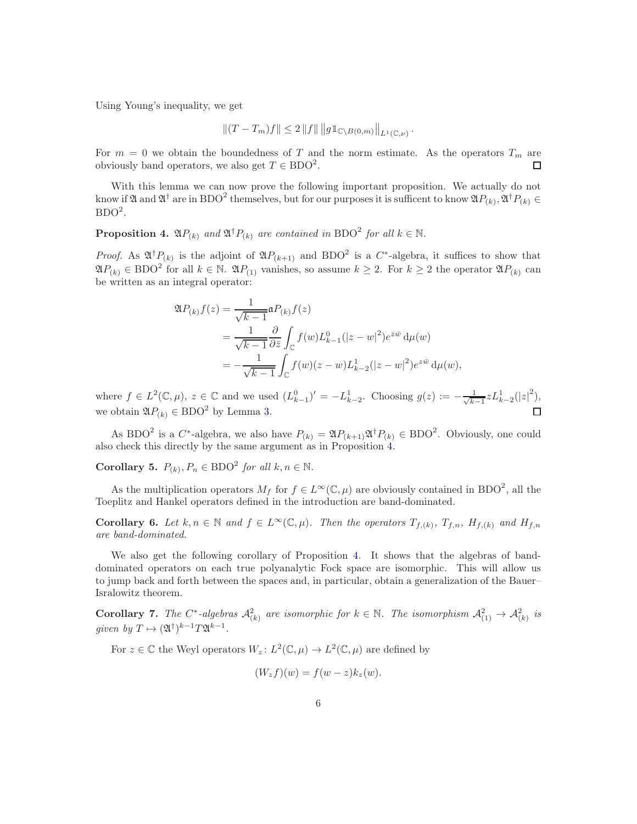Using Young's inequality, we get

$$
|| (T - T_m) f || \leq 2 ||f|| ||g1_{\mathbb{C} \setminus B(0,m)} ||_{L^1(\mathbb{C},\nu)}.
$$

For  $m = 0$  we obtain the boundedness of T and the norm estimate. As the operators  $T_m$  are obviously band operators, we also get  $T \in \text{BDO}^2$ . П

With this lemma we can now prove the following important proposition. We actually do not know if  $\mathfrak A$  and  $\mathfrak A^{\dagger}$  are in BDO<sup>2</sup> themselves, but for our purposes it is sufficent to know  $\mathfrak A P_{(k)}$ ,  $\mathfrak A^{\dagger} P_{(k)} \in$  $BDO<sup>2</sup>$ .

<span id="page-5-0"></span>**Proposition 4.**  $\mathfrak{A}P_{(k)}$  and  $\mathfrak{A}^{\dagger}P_{(k)}$  are contained in BDO<sup>2</sup> for all  $k \in \mathbb{N}$ .

*Proof.* As  $\mathfrak{A}^{\dagger}P_{(k)}$  is the adjoint of  $\mathfrak{A}P_{(k+1)}$  and BDO<sup>2</sup> is a C<sup>\*</sup>-algebra, it suffices to show that  $\mathfrak{A}P_{(k)} \in \text{BDO}^2$  for all  $k \in \mathbb{N}$ .  $\mathfrak{A}P_{(1)}$  vanishes, so assume  $k \geq 2$ . For  $k \geq 2$  the operator  $\mathfrak{A}P_{(k)}$  can be written as an integral operator:

$$
\mathfrak{A}P_{(k)}f(z) = \frac{1}{\sqrt{k-1}} \mathfrak{a}P_{(k)}f(z)
$$
  
= 
$$
\frac{1}{\sqrt{k-1}} \frac{\partial}{\partial \bar{z}} \int_{\mathbb{C}} f(w) L_{k-1}^{0}(|z-w|^2) e^{z\bar{w}} d\mu(w)
$$
  
= 
$$
-\frac{1}{\sqrt{k-1}} \int_{\mathbb{C}} f(w)(z-w) L_{k-2}^{1}(|z-w|^2) e^{z\bar{w}} d\mu(w),
$$

where  $f \in L^2(\mathbb{C}, \mu)$ ,  $z \in \mathbb{C}$  and we used  $(L_{k-1}^0)' = -L_{k-2}^1$ . Choosing  $g(z) := -\frac{1}{\sqrt{k}}$ .  $\frac{1}{k-1} z L_{k-2}^{1}(|z|^2),$ we obtain  $\mathfrak{A}P_{(k)} \in \mathrm{BDO}^2$  by Lemma [3.](#page-4-0)

As BDO<sup>2</sup> is a C<sup>\*</sup>-algebra, we also have  $P_{(k)} = \mathfrak{A}P_{(k+1)}\mathfrak{A}^{\dagger}P_{(k)} \in \text{BDO}^2$ . Obviously, one could also check this directly by the same argument as in Proposition [4.](#page-5-0)

<span id="page-5-1"></span>**Corollary 5.**  $P_{(k)}$ ,  $P_n \in \text{BDO}^2$  for all  $k, n \in \mathbb{N}$ .

As the multiplication operators  $M_f$  for  $f \in L^{\infty}(\mathbb{C}, \mu)$  are obviously contained in BDO<sup>2</sup>, all the Toeplitz and Hankel operators defined in the introduction are band-dominated.

<span id="page-5-3"></span>**Corollary 6.** Let  $k, n \in \mathbb{N}$  and  $f \in L^{\infty}(\mathbb{C}, \mu)$ . Then the operators  $T_{f,(k)}, T_{f,n}, H_{f,(k)}$  and  $H_{f,n}$ are band-dominated.

We also get the following corollary of Proposition [4.](#page-5-0) It shows that the algebras of banddominated operators on each true polyanalytic Fock space are isomorphic. This will allow us to jump back and forth between the spaces and, in particular, obtain a generalization of the Bauer– Isralowitz theorem.

<span id="page-5-2"></span>**Corollary 7.** The C<sup>\*</sup>-algebras  $\mathcal{A}_{(k)}^2$  are isomorphic for  $k \in \mathbb{N}$ . The isomorphism  $\mathcal{A}_{(1)}^2 \to \mathcal{A}_{(k)}^2$  is given by  $T \mapsto (\mathfrak{A}^{\dagger})^{k-1} T \mathfrak{A}^{k-1}$ .

For  $z \in \mathbb{C}$  the Weyl operators  $W_z: L^2(\mathbb{C}, \mu) \to L^2(\mathbb{C}, \mu)$  are defined by

$$
(W_z f)(w) = f(w - z)k_z(w).
$$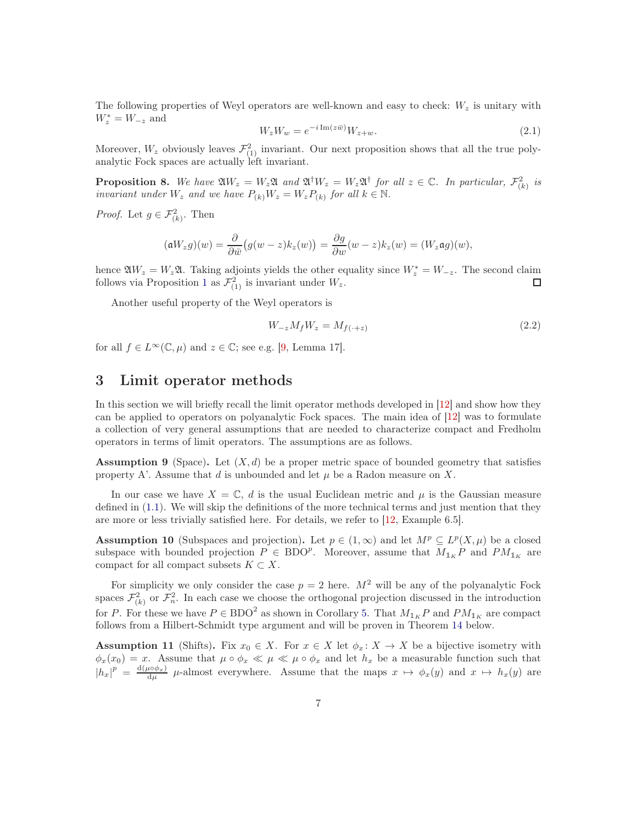The following properties of Weyl operators are well-known and easy to check:  $W<sub>z</sub>$  is unitary with  $W_z^* = W_{-z}$  and

<span id="page-6-3"></span>
$$
W_z W_w = e^{-i \operatorname{Im}(z\bar{w})} W_{z+w}.
$$
\n
$$
(2.1)
$$

Moreover,  $W_z$  obviously leaves  $\mathcal{F}_{(1)}^2$  invariant. Our next proposition shows that all the true polyanalytic Fock spaces are actually left invariant.

<span id="page-6-0"></span>**Proposition 8.** We have  $\mathfrak{A}W_z = W_z \mathfrak{A}$  and  $\mathfrak{A}^{\dagger}W_z = W_z \mathfrak{A}^{\dagger}$  for all  $z \in \mathbb{C}$ . In particular,  $\mathcal{F}_{(k)}^2$  is invariant under  $W_z$  and we have  $P_{(k)}W_z = W_z P_{(k)}$  for all  $k \in \mathbb{N}$ .

*Proof.* Let  $g \in \mathcal{F}_{(k)}^2$ . Then

$$
(\mathfrak{a}W_z g)(w) = \frac{\partial}{\partial \bar{w}} \big(g(w-z)k_z(w)\big) = \frac{\partial g}{\partial w}(w-z)k_z(w) = (W_z \mathfrak{a}g)(w),
$$

hence  $\mathfrak{A}W_z = W_z \mathfrak{A}$ . Taking adjoints yields the other equality since  $W_z^* = W_{-z}$ . The second claim follows via Proposition [1](#page-4-1) as  $\mathcal{F}_{(1)}^2$  is invariant under  $W_z$ .

Another useful property of the Weyl operators is

<span id="page-6-4"></span>
$$
W_{-z}M_fW_z = M_{f(\cdot+z)}\tag{2.2}
$$

for all  $f \in L^{\infty}(\mathbb{C}, \mu)$  and  $z \in \mathbb{C}$ ; see e.g. [\[9,](#page-18-4) Lemma 17].

#### <span id="page-6-5"></span>3 Limit operator methods

In this section we will briefly recall the limit operator methods developed in [\[12\]](#page-18-9) and show how they can be applied to operators on polyanalytic Fock spaces. The main idea of [\[12\]](#page-18-9) was to formulate a collection of very general assumptions that are needed to characterize compact and Fredholm operators in terms of limit operators. The assumptions are as follows.

<span id="page-6-1"></span>**Assumption 9** (Space). Let  $(X, d)$  be a proper metric space of bounded geometry that satisfies property A'. Assume that d is unbounded and let  $\mu$  be a Radon measure on X.

In our case we have  $X = \mathbb{C}$ , d is the usual Euclidean metric and  $\mu$  is the Gaussian measure defined in [\(1.1\)](#page-1-1). We will skip the definitions of the more technical terms and just mention that they are more or less trivially satisfied here. For details, we refer to [\[12,](#page-18-9) Example 6.5].

**Assumption 10** (Subspaces and projection). Let  $p \in (1,\infty)$  and let  $M^p \subseteq L^p(X,\mu)$  be a closed subspace with bounded projection  $P \in BDO^p$ . Moreover, assume that  $M_{1_K}P$  and  $PM_{1_K}$  are compact for all compact subsets  $K \subset X$ .

For simplicity we only consider the case  $p = 2$  here.  $M^2$  will be any of the polyanalytic Fock spaces  $\mathcal{F}_{(k)}^2$  or  $\mathcal{F}_n^2$ . In each case we choose the orthogonal projection discussed in the introduction for P. For these we have  $P \in BDO^2$  as shown in Corollary [5.](#page-5-1) That  $M_{1_K}P$  and  $PM_{1_K}$  are compact follows from a Hilbert-Schmidt type argument and will be proven in Theorem [14](#page-7-0) below.

<span id="page-6-2"></span>**Assumption 11** (Shifts). Fix  $x_0 \in X$ . For  $x \in X$  let  $\phi_x \colon X \to X$  be a bijective isometry with  $\phi_x(x_0) = x$ . Assume that  $\mu \circ \phi_x \ll \mu \ll \mu \circ \phi_x$  and let  $h_x$  be a measurable function such that  $|h_x|^p = \frac{d(\mu \circ \phi_x)}{d\mu}$   $\mu$ -almost everywhere. Assume that the maps  $x \mapsto \phi_x(y)$  and  $x \mapsto h_x(y)$  are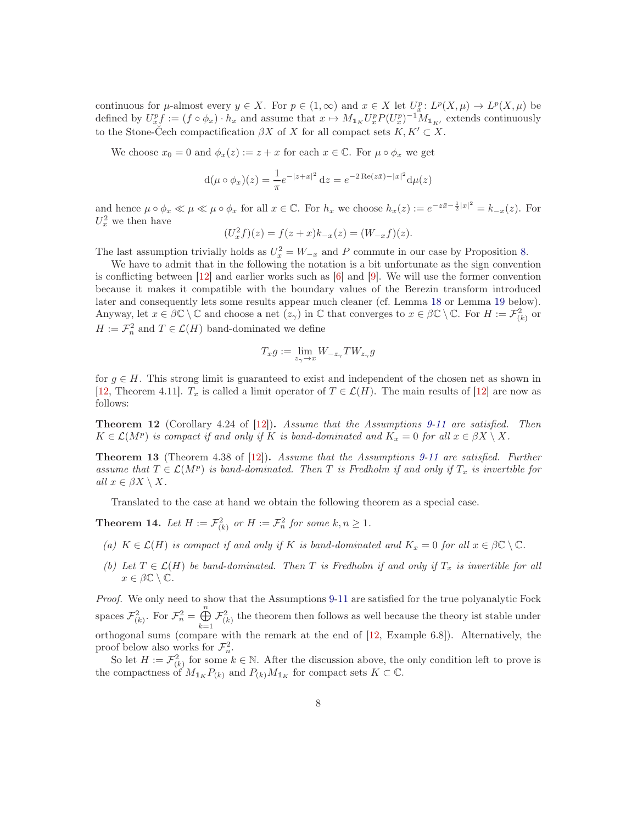continuous for  $\mu$ -almost every  $y \in X$ . For  $p \in (1,\infty)$  and  $x \in X$  let  $U_x^p: L^p(X, \mu) \to L^p(X, \mu)$  be defined by  $U_x^p f := (f \circ \phi_x) \cdot h_x$  and assume that  $x \mapsto M_{1_K} U_x^p P (U_x^p)^{-1} M_{1_{K'}}$  extends continuously to the Stone-Čech compactification  $\beta X$  of X for all compact sets  $K, K' \subset X$ .

We choose  $x_0 = 0$  and  $\phi_x(z) := z + x$  for each  $x \in \mathbb{C}$ . For  $\mu \circ \phi_x$  we get

$$
d(\mu \circ \phi_x)(z) = \frac{1}{\pi} e^{-|z+x|^2} dz = e^{-2 \operatorname{Re}(z\bar{x}) - |x|^2} d\mu(z)
$$

and hence  $\mu \circ \phi_x \ll \mu \ll \phi_x$  for all  $x \in \mathbb{C}$ . For  $h_x$  we choose  $h_x(z) := e^{-z\bar{x} - \frac{1}{2}|x|^2} = k_{-x}(z)$ . For  $U_x^2$  we then have

$$
(U_x^2 f)(z) = f(z+x)k_{-x}(z) = (W_{-x}f)(z).
$$

The last assumption trivially holds as  $U_x^2 = W_{-x}$  and P commute in our case by Proposition [8.](#page-6-0)

We have to admit that in the following the notation is a bit unfortunate as the sign convention is conflicting between  $[12]$  and earlier works such as  $[6]$  and  $[9]$ . We will use the former convention because it makes it compatible with the boundary values of the Berezin transform introduced later and consequently lets some results appear much cleaner (cf. Lemma [18](#page-10-0) or Lemma [19](#page-11-0) below). Anyway, let  $x \in \beta\mathbb{C} \setminus \mathbb{C}$  and choose a net  $(z_{\gamma})$  in  $\mathbb{C}$  that converges to  $x \in \beta\mathbb{C} \setminus \mathbb{C}$ . For  $H := \mathcal{F}_{(k)}^2$  or  $H := \mathcal{F}_n^2$  and  $T \in \mathcal{L}(H)$  band-dominated we define

$$
T_x g := \lim_{z_\gamma \to x} W_{-z_\gamma} T W_{z_\gamma} g
$$

for  $q \in H$ . This strong limit is guaranteed to exist and independent of the chosen net as shown in [\[12,](#page-18-9) Theorem 4.11].  $T_x$  is called a limit operator of  $T \in \mathcal{L}(H)$ . The main results of [\[12\]](#page-18-9) are now as follows:

Theorem 12 (Corollary 4.24 of [\[12\]](#page-18-9)). Assume that the Assumptions [9-](#page-6-1)[11](#page-6-2) are satisfied. Then  $K \in \mathcal{L}(M^p)$  is compact if and only if K is band-dominated and  $K_x = 0$  for all  $x \in \beta X \setminus X$ .

Theorem 13 (Theorem 4.38 of [\[12\]](#page-18-9)). Assume that the Assumptions [9-](#page-6-1)[11](#page-6-2) are satisfied. Further assume that  $T \in \mathcal{L}(M^p)$  is band-dominated. Then T is Fredholm if and only if  $T_x$  is invertible for all  $x \in \beta X \setminus X$ .

Translated to the case at hand we obtain the following theorem as a special case.

<span id="page-7-0"></span>**Theorem 14.** Let  $H := \mathcal{F}_{(k)}^2$  or  $H := \mathcal{F}_n^2$  for some  $k, n \geq 1$ .

- (a)  $K \in \mathcal{L}(H)$  is compact if and only if K is band-dominated and  $K_x = 0$  for all  $x \in \beta \mathbb{C} \setminus \mathbb{C}$ .
- (b) Let  $T \in \mathcal{L}(H)$  be band-dominated. Then T is Fredholm if and only if  $T_x$  is invertible for all  $x \in \beta \mathbb{C} \setminus \mathbb{C}.$

Proof. We only need to show that the Assumptions [9](#page-6-1)[-11](#page-6-2) are satisfied for the true polyanalytic Fock spaces  $\mathcal{F}_{(k)}^2$ . For  $\mathcal{F}_n^2 = \bigoplus_{n=1}^n$  $\bigoplus_{k=1} \mathcal{F}_{(k)}^2$  the theorem then follows as well because the theory ist stable under orthogonal sums (compare with the remark at the end of [\[12,](#page-18-9) Example 6.8]). Alternatively, the proof below also works for  $\mathcal{F}_n^2$ .

So let  $H := \mathcal{F}_{(k)}^2$  for some  $k \in \mathbb{N}$ . After the discussion above, the only condition left to prove is the compactness of  $M_{1_K} P_{(k)}$  and  $P_{(k)} M_{1_K}$  for compact sets  $K \subset \mathbb{C}$ .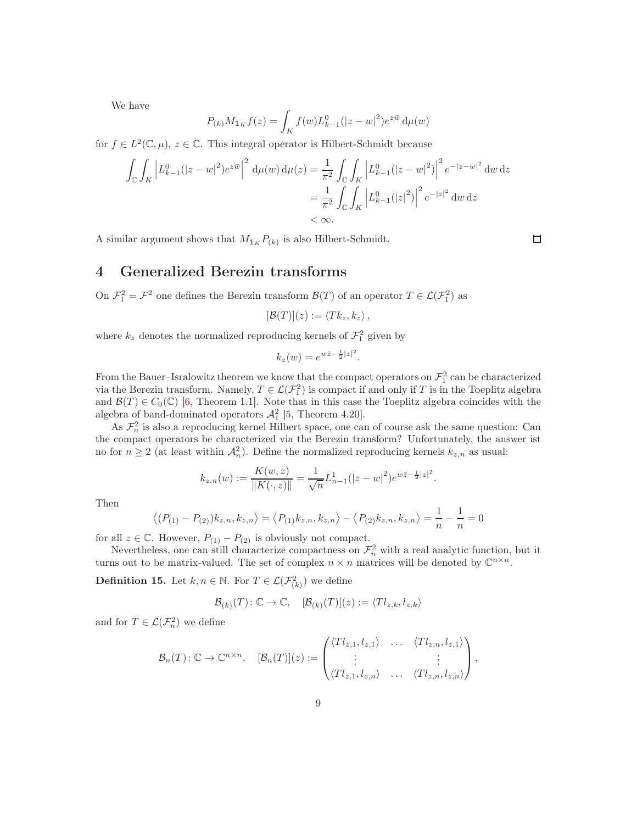We have

$$
P_{(k)}M_{1_K}f(z) = \int_K f(w)L_{k-1}^0(|z-w|^2)e^{z\bar{w}} d\mu(w)
$$

for  $f \in L^2(\mathbb{C}, \mu)$ ,  $z \in \mathbb{C}$ . This integral operator is Hilbert-Schmidt because

$$
\int_{\mathbb{C}} \int_{K} \left| L_{k-1}^{0} (|z-w|^2) e^{z\bar{w}} \right|^2 d\mu(w) d\mu(z) = \frac{1}{\pi^2} \int_{\mathbb{C}} \int_{K} \left| L_{k-1}^{0} (|z-w|^2) \right|^2 e^{-|z-w|^2} dw \, dz
$$
\n
$$
= \frac{1}{\pi^2} \int_{\mathbb{C}} \int_{K} \left| L_{k-1}^{0} (|z|^2) \right|^2 e^{-|z|^2} dw \, dz
$$
\n
$$
< \infty.
$$

A similar argument shows that  $M_{1_K} P_{(k)}$  is also Hilbert-Schmidt.

### 4 Generalized Berezin transforms

On  $\mathcal{F}_1^2 = \mathcal{F}^2$  one defines the Berezin transform  $\mathcal{B}(T)$  of an operator  $T \in \mathcal{L}(\mathcal{F}_1^2)$  as

$$
[\mathcal{B}(T)](z) := \langle Tk_z, k_z \rangle \, ,
$$

where  $k_z$  denotes the normalized reproducing kernels of  $\mathcal{F}_1^2$  given by

$$
k_z(w) = e^{w\overline{z} - \frac{1}{2}|z|^2}.
$$

From the Bauer–Isralowitz theorem we know that the compact operators on  $\mathcal{F}_1^2$  can be characterized via the Berezin transform. Namely,  $T \in \mathcal{L}(\mathcal{F}_1^2)$  is compact if and only if T is in the Toeplitz algebra and  $\mathcal{B}(T) \in C_0(\mathbb{C})$  [\[6,](#page-18-10) Theorem 1.1]. Note that in this case the Toeplitz algebra coincides with the algebra of band-dominated operators  $\mathcal{A}_1^2$  [\[5,](#page-18-5) Theorem 4.20].

As  $\mathcal{F}_n^2$  is also a reproducing kernel Hilbert space, one can of course ask the same question: Can the compact operators be characterized via the Berezin transform? Unfortunately, the answer ist no for  $n \geq 2$  (at least within  $\mathcal{A}_n^2$ ). Define the normalized reproducing kernels  $k_{z,n}$  as usual:

$$
k_{z,n}(w) := \frac{K(w,z)}{\|K(\cdot,z)\|} = \frac{1}{\sqrt{n}} L_{n-1}^1(|z-w|^2) e^{w\bar{z}-\frac{1}{2}|z|^2}.
$$

Then

$$
\langle (P_{(1)} - P_{(2)})k_{z,n}, k_{z,n} \rangle = \langle P_{(1)}k_{z,n}, k_{z,n} \rangle - \langle P_{(2)}k_{z,n}, k_{z,n} \rangle = \frac{1}{n} - \frac{1}{n} = 0
$$

for all  $z \in \mathbb{C}$ . However,  $P_{(1)} - P_{(2)}$  is obviously not compact.

Nevertheless, one can still characterize compactness on  $\mathcal{F}^2_n$  with a real analytic function, but it turns out to be matrix-valued. The set of complex  $n \times n$  matrices will be denoted by  $\mathbb{C}^{n \times n}$ .

**Definition 15.** Let  $k, n \in \mathbb{N}$ . For  $T \in \mathcal{L}(\mathcal{F}_{(k)}^2)$  we define

$$
\mathcal{B}_{(k)}(T)\colon \mathbb{C}\to \mathbb{C},\quad [\mathcal{B}_{(k)}(T)](z):=\langle Tl_{z,k},l_{z,k}\rangle
$$

and for  $T \in \mathcal{L}(\mathcal{F}_n^2)$  we define

$$
\mathcal{B}_n(T): \mathbb{C} \to \mathbb{C}^{n \times n}, \quad [\mathcal{B}_n(T)](z) := \begin{pmatrix} \langle Tl_{z,1}, l_{z,1} \rangle & \dots & \langle Tl_{z,n}, l_{z,1} \rangle \\ \vdots & & \vdots \\ \langle Tl_{z,1}, l_{z,n} \rangle & \dots & \langle Tl_{z,n}, l_{z,n} \rangle \end{pmatrix},
$$

 $\Box$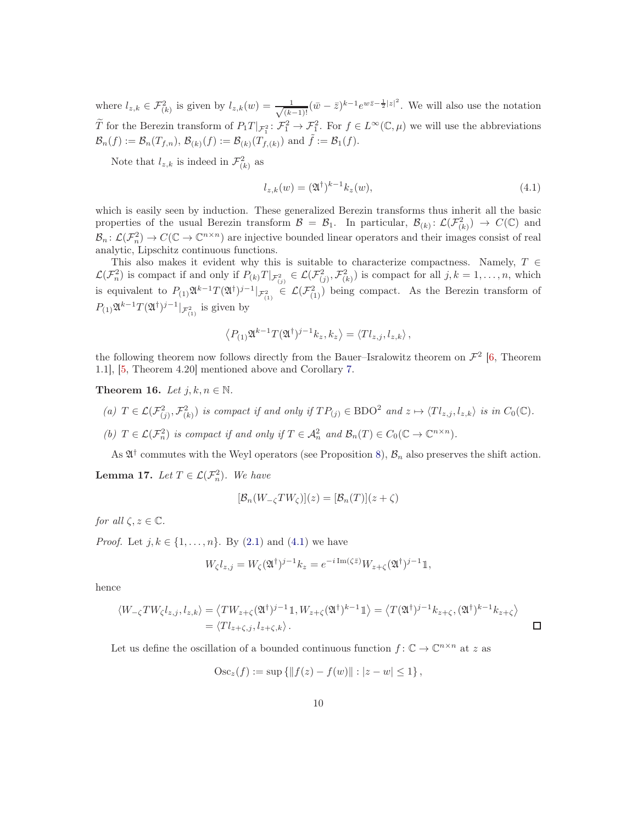where  $l_{z,k} \in \mathcal{F}_{(k)}^2$  is given by  $l_{z,k}(w) = \frac{1}{\sqrt{kz}}$  $\frac{1}{(k-1)!}(\bar{w}-\bar{z})^{k-1}e^{w\bar{z}-\frac{1}{2}|z|^2}$ . We will also use the notation T for the Berezin transform of  $P_1T|_{\mathcal{F}_1^2} \colon \mathcal{F}_1^2 \to \mathcal{F}_1^2$ . For  $f \in L^{\infty}(\mathbb{C}, \mu)$  we will use the abbreviations  $\mathcal{B}_n(f) := \mathcal{B}_n(T_{f,n}), \mathcal{B}_{(k)}(f) := \mathcal{B}_{(k)}(T_{f,(k)})$  and  $\tilde{f} := \mathcal{B}_1(f)$ .

Note that  $l_{z,k}$  is indeed in  $\mathcal{F}_{(k)}^2$  as

<span id="page-9-0"></span>
$$
l_{z,k}(w) = (\mathfrak{A}^\dagger)^{k-1} k_z(w),\tag{4.1}
$$

which is easily seen by induction. These generalized Berezin transforms thus inherit all the basic properties of the usual Berezin transform  $\mathcal{B} = \mathcal{B}_1$ . In particular,  $\mathcal{B}_{(k)}: \mathcal{L}(\mathcal{F}_{(k)}^2) \to C(\mathbb{C})$  and  $\mathcal{B}_n: \mathcal{L}(\mathcal{F}_n^2) \to C(\mathbb{C} \to \mathbb{C}^{n \times n})$  are injective bounded linear operators and their images consist of real analytic, Lipschitz continuous functions.

This also makes it evident why this is suitable to characterize compactness. Namely,  $T \in$  $\mathcal{L}(\mathcal{F}_n^2)$  is compact if and only if  $P_{(k)}T|_{\mathcal{F}_{(j)}^2} \in \mathcal{L}(\mathcal{F}_{(j)}^2, \mathcal{F}_{(k)}^2)$  is compact for all  $j, k = 1, ..., n$ , which is equivalent to  $P_{(1)}\mathfrak{A}^{k-1}T(\mathfrak{A}^{\dagger})^{j-1}|_{\mathcal{F}_{(1)}^2} \in \mathcal{L}(\mathcal{F}_{(1)}^2)$  being compact. As the Berezin transform of  $P_{(1)}\mathfrak{A}^{k-1}T(\mathfrak{A}^{\dagger})^{j-1}|_{\mathcal{F}_{(1)}^2}$  is given by

$$
\left\langle P_{(1)}\mathfrak{A}^{k-1}T(\mathfrak{A}^{\dagger})^{j-1}k_{z},k_{z}\right\rangle =\left\langle Tl_{z,j},l_{z,k}\right\rangle ,
$$

the following theorem now follows directly from the Bauer–Isralowitz theorem on  $\mathcal{F}^2$  [\[6,](#page-18-10) Theorem 1.1], [\[5,](#page-18-5) Theorem 4.20] mentioned above and Corollary [7.](#page-5-2)

<span id="page-9-2"></span>Theorem 16. Let  $i, k, n \in \mathbb{N}$ .

- (a)  $T \in \mathcal{L}(\mathcal{F}_{(j)}^2, \mathcal{F}_{(k)}^2)$  is compact if and only if  $TP_{(j)} \in \text{BDO}^2$  and  $z \mapsto \langle Tl_{z,j}, l_{z,k} \rangle$  is in  $C_0(\mathbb{C})$ .
- (b)  $T \in \mathcal{L}(\mathcal{F}_n^2)$  is compact if and only if  $T \in \mathcal{A}_n^2$  and  $\mathcal{B}_n(T) \in C_0(\mathbb{C} \to \mathbb{C}^{n \times n})$ .

As  $\mathfrak{A}^{\dagger}$  commutes with the Weyl operators (see Proposition [8\)](#page-6-0),  $\mathcal{B}_n$  also preserves the shift action.

<span id="page-9-1"></span>**Lemma 17.** Let  $T \in \mathcal{L}(\mathcal{F}_n^2)$ . We have

$$
[\mathcal{B}_n(W_{-\zeta}TW_{\zeta})](z) = [\mathcal{B}_n(T)](z+\zeta)
$$

for all  $\zeta, z \in \mathbb{C}$ .

*Proof.* Let  $j, k \in \{1, ..., n\}$ . By  $(2.1)$  and  $(4.1)$  we have

$$
W_{\zeta}l_{z,j} = W_{\zeta}(\mathfrak{A}^{\dagger})^{j-1}k_z = e^{-i \operatorname{Im}(\zeta \bar{z})} W_{z+\zeta}(\mathfrak{A}^{\dagger})^{j-1} \mathbb{1},
$$

hence

$$
\langle W_{-\zeta}TW_{\zeta}l_{z,j},l_{z,k}\rangle = \langle TW_{z+\zeta}(\mathfrak{A}^{\dagger})^{j-1}\mathbb{1}, W_{z+\zeta}(\mathfrak{A}^{\dagger})^{k-1}\mathbb{1}\rangle = \langle T(\mathfrak{A}^{\dagger})^{j-1}k_{z+\zeta}, (\mathfrak{A}^{\dagger})^{k-1}k_{z+\zeta}\rangle
$$
  
=  $\langle Tl_{z+\zeta,j}, l_{z+\zeta,k}\rangle$ .

Let us define the oscillation of a bounded continuous function  $f: \mathbb{C} \to \mathbb{C}^{n \times n}$  at z as

$$
Osc_z(f) := \sup \{ ||f(z) - f(w)|| : |z - w| \le 1 \},\
$$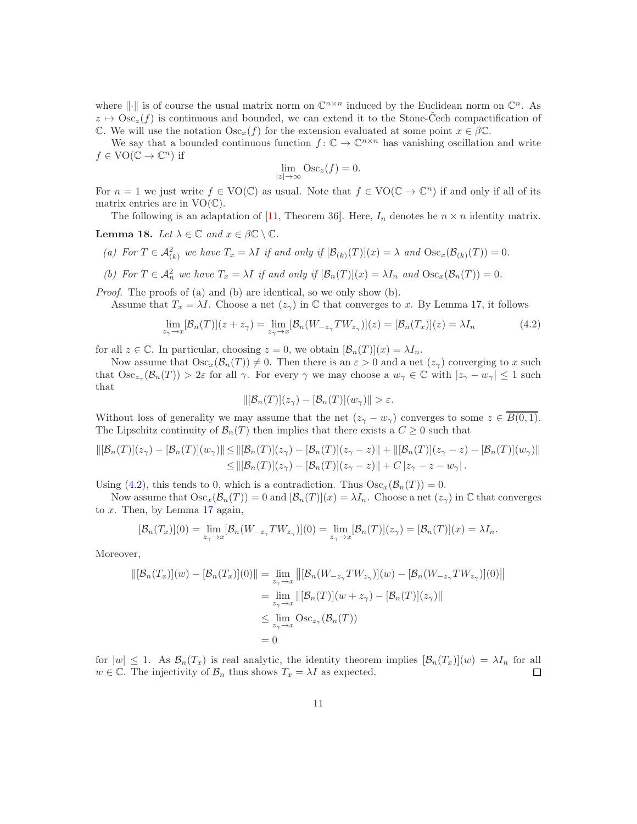where  $\|\cdot\|$  is of course the usual matrix norm on  $\mathbb{C}^{n\times n}$  induced by the Euclidean norm on  $\mathbb{C}^n$ . As  $z \mapsto \text{Osc}_z(f)$  is continuous and bounded, we can extend it to the Stone-Čech compactification of C. We will use the notation  $\text{Osc}_x(f)$  for the extension evaluated at some point  $x \in \beta \mathbb{C}$ .

We say that a bounded continuous function  $f: \mathbb{C} \to \mathbb{C}^{n \times n}$  has vanishing oscillation and write  $f \in \text{VO}(\mathbb{C} \to \mathbb{C}^n)$  if

$$
\lim_{|z| \to \infty} \text{Osc}_z(f) = 0.
$$

For  $n = 1$  we just write  $f \in \text{VO}(\mathbb{C})$  as usual. Note that  $f \in \text{VO}(\mathbb{C} \to \mathbb{C}^n)$  if and only if all of its matrix entries are in  $VO(\mathbb{C})$ .

The following is an adaptation of [\[11,](#page-18-7) Theorem 36]. Here,  $I_n$  denotes he  $n \times n$  identity matrix.

<span id="page-10-0"></span>**Lemma 18.** Let  $\lambda \in \mathbb{C}$  and  $x \in \beta \mathbb{C} \setminus \mathbb{C}$ .

- (a) For  $T \in \mathcal{A}_{(k)}^2$  we have  $T_x = \lambda I$  if and only if  $[\mathcal{B}_{(k)}(T)](x) = \lambda$  and  $\mathrm{Osc}_x(\mathcal{B}_{(k)}(T)) = 0$ .
- (b) For  $T \in \mathcal{A}_n^2$  we have  $T_x = \lambda I$  if and only if  $[\mathcal{B}_n(T)](x) = \lambda I_n$  and  $\text{Osc}_x(\mathcal{B}_n(T)) = 0$ .

Proof. The proofs of (a) and (b) are identical, so we only show (b).

Assume that  $T_x = \lambda I$ . Choose a net  $(z_\gamma)$  in C that converges to x. By Lemma [17,](#page-9-1) it follows

<span id="page-10-1"></span>
$$
\lim_{z_{\gamma} \to x} [\mathcal{B}_n(T)](z + z_{\gamma}) = \lim_{z_{\gamma} \to x} [\mathcal{B}_n(W_{-z_{\gamma}} TW_{z_{\gamma}})](z) = [\mathcal{B}_n(T_x)](z) = \lambda I_n
$$
\n(4.2)

for all  $z \in \mathbb{C}$ . In particular, choosing  $z = 0$ , we obtain  $[\mathcal{B}_n(T)](x) = \lambda I_n$ .

Now assume that  $\text{Osc}_x(\mathcal{B}_n(T)) \neq 0$ . Then there is an  $\varepsilon > 0$  and a net  $(z_\gamma)$  converging to x such that  $\text{Osc}_{z_{\gamma}}(\mathcal{B}_n(T)) > 2\varepsilon$  for all  $\gamma$ . For every  $\gamma$  we may choose a  $w_{\gamma} \in \mathbb{C}$  with  $|z_{\gamma} - w_{\gamma}| \leq 1$  such that

$$
\|[\mathcal{B}_n(T)](z_\gamma)-[\mathcal{B}_n(T)](w_\gamma)\|>\varepsilon.
$$

Without loss of generality we may assume that the net  $(z_{\gamma}-w_{\gamma})$  converges to some  $z \in \overline{B(0,1)}$ . The Lipschitz continuity of  $\mathcal{B}_n(T)$  then implies that there exists a  $C \geq 0$  such that

$$
\|[\mathcal{B}_n(T)](z_\gamma) - [\mathcal{B}_n(T)](w_\gamma)\| \leq \|[\mathcal{B}_n(T)](z_\gamma) - [\mathcal{B}_n(T)](z_\gamma - z)\| + \|[\mathcal{B}_n(T)](z_\gamma - z) - [\mathcal{B}_n(T)](w_\gamma)\|
$$
  
\n
$$
\leq \|[\mathcal{B}_n(T)](z_\gamma) - [\mathcal{B}_n(T)](z_\gamma - z)\| + C |z_\gamma - z - w_\gamma|.
$$

Using [\(4.2\)](#page-10-1), this tends to 0, which is a contradiction. Thus  $Osc_x(\mathcal{B}_n(T)) = 0$ .

Now assume that  $\text{Osc}_x(\mathcal{B}_n(T)) = 0$  and  $[\mathcal{B}_n(T)](x) = \lambda I_n$ . Choose a net  $(z_\gamma)$  in C that converges to  $x$ . Then, by Lemma [17](#page-9-1) again,

$$
[\mathcal{B}_n(T_x)](0) = \lim_{z_\gamma \to x} [\mathcal{B}_n(W_{-z_\gamma}TW_{z_\gamma})](0) = \lim_{z_\gamma \to x} [\mathcal{B}_n(T)](z_\gamma) = [\mathcal{B}_n(T)](x) = \lambda I_n.
$$

Moreover,

$$
\begin{aligned} ||[\mathcal{B}_n(T_x)](w) - [\mathcal{B}_n(T_x)](0)|| &= \lim_{z_\gamma \to x} ||[\mathcal{B}_n(W_{-z_\gamma}TW_{z_\gamma})](w) - [\mathcal{B}_n(W_{-z_\gamma}TW_{z_\gamma})](0)|| \\ &= \lim_{z_\gamma \to x} ||[\mathcal{B}_n(T)](w + z_\gamma) - [\mathcal{B}_n(T)](z_\gamma)|| \\ &\le \lim_{z_\gamma \to x} \text{Osc}_{z_\gamma}(\mathcal{B}_n(T)) \\ &= 0 \end{aligned}
$$

for  $|w| \leq 1$ . As  $\mathcal{B}_n(T_x)$  is real analytic, the identity theorem implies  $[\mathcal{B}_n(T_x)](w) = \lambda I_n$  for all  $w \in \mathbb{C}$ . The injectivity of  $\mathcal{B}_n$  thus shows  $T_x = \lambda I$  as expected.  $w \in \mathbb{C}$ . The injectivity of  $\mathcal{B}_n$  thus shows  $T_x = \lambda I$  as expected.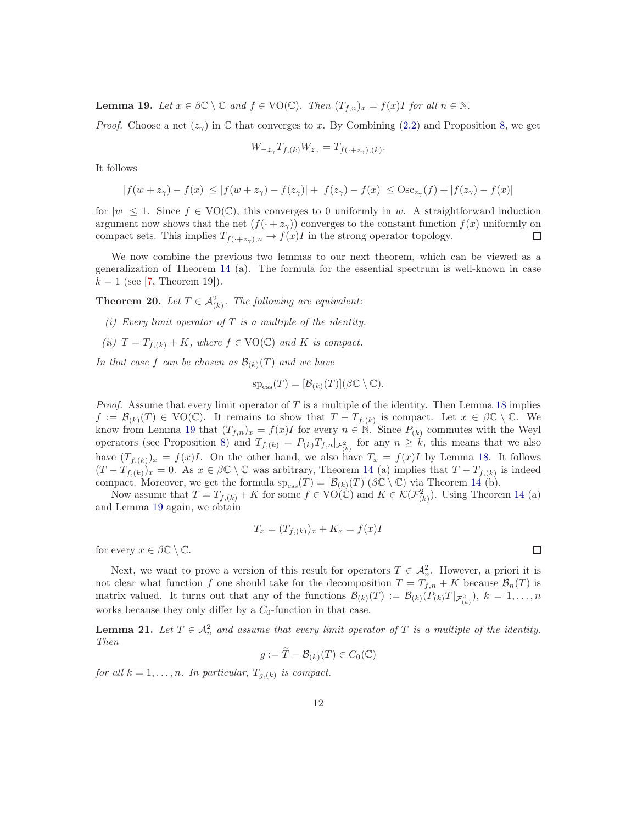<span id="page-11-0"></span>**Lemma 19.** Let  $x \in \beta \mathbb{C} \setminus \mathbb{C}$  and  $f \in \text{VO}(\mathbb{C})$ . Then  $(T_{f,n})_x = f(x)I$  for all  $n \in \mathbb{N}$ .

*Proof.* Choose a net  $(z_7)$  in C that converges to x. By Combining [\(2.2\)](#page-6-4) and Proposition [8,](#page-6-0) we get

$$
W_{-z_{\gamma}}T_{f,(k)}W_{z_{\gamma}}=T_{f(\cdot+z_{\gamma}),(k)}.
$$

It follows

$$
|f(w + z_{\gamma}) - f(x)| \le |f(w + z_{\gamma}) - f(z_{\gamma})| + |f(z_{\gamma}) - f(x)| \le \text{Osc}_{z_{\gamma}}(f) + |f(z_{\gamma}) - f(x)|
$$

for  $|w| \leq 1$ . Since  $f \in \text{VO}(\mathbb{C})$ , this converges to 0 uniformly in w. A straightforward induction argument now shows that the net  $(f(\cdot + z_{\gamma}))$  converges to the constant function  $f(x)$  uniformly on compact sets. This implies  $T_{f(\cdot+z_{\gamma})}$   $\longrightarrow$   $f(x)I$  in the strong operator topology. compact sets. This implies  $T_{f(\cdot+z_\gamma),n} \to f(x)I$  in the strong operator topology.

We now combine the previous two lemmas to our next theorem, which can be viewed as a generalization of Theorem [14](#page-7-0) (a). The formula for the essential spectrum is well-known in case  $k = 1$  (see [\[7,](#page-18-11) Theorem 19]).

<span id="page-11-1"></span>**Theorem 20.** Let  $T \in \mathcal{A}_{(k)}^2$ . The following are equivalent:

- (i) Every limit operator of  $T$  is a multiple of the identity.
- (ii)  $T = T_{f,(k)} + K$ , where  $f \in \text{VO}(\mathbb{C})$  and K is compact.

In that case f can be chosen as  $\mathcal{B}_{(k)}(T)$  and we have

$$
\mathrm{sp}_{\mathrm{ess}}(T)=[\mathcal{B}_{(k)}(T)](\beta\mathbb{C}\setminus\mathbb{C}).
$$

*Proof.* Assume that every limit operator of  $T$  is a multiple of the identity. Then Lemma [18](#page-10-0) implies  $f := \mathcal{B}_{(k)}(T) \in \text{VO}(\mathbb{C})$ . It remains to show that  $T - T_{f,(k)}$  is compact. Let  $x \in \beta \mathbb{C} \setminus \mathbb{C}$ . We know from Lemma [19](#page-11-0) that  $(T_{f,n})_x = f(x)I$  for every  $n \in \mathbb{N}$ . Since  $P_{(k)}$  commutes with the Weyl operators (see Proposition [8\)](#page-6-0) and  $T_{f,(k)} = P_{(k)} T_{f,n}|_{\mathcal{F}_{(k)}^2}$  for any  $n \geq k$ , this means that we also have  $(T_{f,(k)})_x = f(x)I$ . On the other hand, we also have  $T_x = f(x)I$  by Lemma [18.](#page-10-0) It follows  $(T - T_{f,(k)})_x = 0$ . As  $x \in \beta \mathbb{C} \setminus \mathbb{C}$  was arbitrary, Theorem [14](#page-7-0) (a) implies that  $T - T_{f,(k)}$  is indeed compact. Moreover, we get the formula  $sp_{ess}(T) = [\mathcal{B}_{(k)}(T)](\beta \mathbb{C} \setminus \mathbb{C})$  via Theorem [14](#page-7-0) (b).

Now assume that  $T = T_{f,(k)} + K$  for some  $f \in \text{VO}(\mathbb{C})$  and  $K \in \mathcal{K}(\mathcal{F}_{(k)}^2)$ . Using Theorem [14](#page-7-0) (a) and Lemma [19](#page-11-0) again, we obtain

$$
T_x = (T_{f,(k)})_x + K_x = f(x)I
$$

for every  $x \in \beta \mathbb{C} \setminus \mathbb{C}$ .

Next, we want to prove a version of this result for operators  $T \in \mathcal{A}_n^2$ . However, a priori it is not clear what function f one should take for the decomposition  $T = T_{f,n} + K$  because  $\mathcal{B}_n(T)$  is matrix valued. It turns out that any of the functions  $\mathcal{B}_{(k)}(T) := \mathcal{B}_{(k)}(P_{(k)}T |_{\mathcal{F}_{(k)}^2}), k = 1, \ldots, n$ works because they only differ by a  $C_0$ -function in that case.

<span id="page-11-2"></span>**Lemma 21.** Let  $T \in \mathcal{A}_n^2$  and assume that every limit operator of T is a multiple of the identity. Then

$$
g := \widetilde{T} - \mathcal{B}_{(k)}(T) \in C_0(\mathbb{C})
$$

for all  $k = 1, \ldots, n$ . In particular,  $T_{g,(k)}$  is compact.

 $\Box$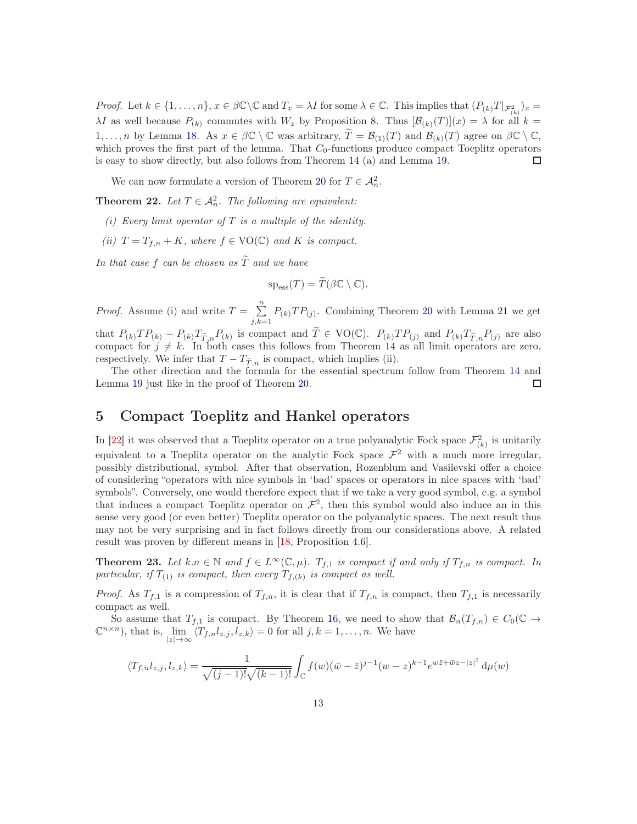Proof. Let  $k \in \{1, ..., n\}$ ,  $x \in \beta \mathbb{C} \setminus \mathbb{C}$  and  $T_x = \lambda I$  for some  $\lambda \in \mathbb{C}$ . This implies that  $(P_{(k)}T |_{\mathcal{F}_{(k)}^2})_x =$  $\lambda I$  as well because  $P_{(k)}$  commutes with  $W_z$  by Proposition [8.](#page-6-0) Thus  $[\mathcal{B}_{(k)}(T)](x) = \lambda$  for all  $k =$  $1, \ldots, n$  by Lemma [18.](#page-10-0) As  $x \in \beta \mathbb{C} \setminus \mathbb{C}$  was arbitrary,  $\widetilde{T} = \mathcal{B}_{(1)}(T)$  and  $\mathcal{B}_{(k)}(T)$  agree on  $\beta \mathbb{C} \setminus \mathbb{C}$ , which proves the first part of the lemma. That  $C_0$ -functions produce compact Toeplitz operators is easy to show directly, but also follows from Theorem [14](#page-7-0) (a) and Lemma [19.](#page-11-0) □

We can now formulate a version of Theorem [20](#page-11-1) for  $T \in \mathcal{A}_n^2$ .

<span id="page-12-0"></span>**Theorem 22.** Let  $T \in \mathcal{A}_n^2$ . The following are equivalent:

- (i) Every limit operator of  $T$  is a multiple of the identity.
- (ii)  $T = T_{f,n} + K$ , where  $f \in \text{VO}(\mathbb{C})$  and K is compact.

In that case f can be chosen as  $\widetilde{T}$  and we have

$$
\mathrm{sp}_{\mathrm{ess}}(T) = \widetilde{T}(\beta \mathbb{C} \setminus \mathbb{C}).
$$

*Proof.* Assume (i) and write  $T = \sum_{n=1}^{\infty}$  $\sum_{j,k=1} P_{(k)}TP_{(j)}$ . Combining Theorem [20](#page-11-1) with Lemma [21](#page-11-2) we get that  $P_{(k)}TP_{(k)} - P_{(k)}T_{\tilde{T},n}P_{(k)}$  is compact and  $\tilde{T} \in \text{VO}(\mathbb{C})$ .  $P_{(k)}TP_{(j)}$  and  $P_{(k)}T_{\tilde{T},n}P_{(j)}$  are also compact for  $j \neq k$ . In both cases this follows from Theorem [14](#page-7-0) as all limit operators are zero, respectively. We infer that  $T - T_{\widetilde{T},n}$  is compact, which implies (ii).

The other direction and the formula for the essential spectrum follow from Theorem [14](#page-7-0) and Lemma [19](#page-11-0) just like in the proof of Theorem [20.](#page-11-1)  $\Box$ 

#### 5 Compact Toeplitz and Hankel operators

In [\[22\]](#page-19-3) it was observed that a Toeplitz operator on a true polyanalytic Fock space  $\mathcal{F}_{(k)}^2$  is unitarily equivalent to a Toeplitz operator on the analytic Fock space  $\mathcal{F}^2$  with a much more irregular, possibly distributional, symbol. After that observation, Rozenblum and Vasilevski offer a choice of considering "operators with nice symbols in 'bad' spaces or operators in nice spaces with 'bad' symbols". Conversely, one would therefore expect that if we take a very good symbol, e.g. a symbol that induces a compact Toeplitz operator on  $\mathcal{F}^2$ , then this symbol would also induce an in this sense very good (or even better) Toeplitz operator on the polyanalytic spaces. The next result thus may not be very surprising and in fact follows directly from our considerations above. A related result was proven by different means in [\[18,](#page-19-8) Proposition 4.6].

<span id="page-12-1"></span>**Theorem 23.** Let  $k.n \in \mathbb{N}$  and  $f \in L^{\infty}(\mathbb{C}, \mu)$ .  $T_{f,1}$  is compact if and only if  $T_{f,n}$  is compact. In particular, if  $T_{(1)}$  is compact, then every  $T_{f,(k)}$  is compact as well.

*Proof.* As  $T_{f,1}$  is a compression of  $T_{f,n}$ , it is clear that if  $T_{f,n}$  is compact, then  $T_{f,1}$  is necessarily compact as well.

So assume that  $T_{f,1}$  is compact. By Theorem [16,](#page-9-2) we need to show that  $\mathcal{B}_n(T_{f,n}) \in C_0(\mathbb{C} \to$  $\mathbb{C}^{n \times n}$ ), that is, lim  $\lim_{|z| \to \infty} \langle T_{f,n} l_{z,j}, l_{z,k} \rangle = 0$  for all  $j, k = 1, \ldots, n$ . We have

$$
\langle T_{f,n}l_{z,j},l_{z,k}\rangle = \frac{1}{\sqrt{(j-1)!}\sqrt{(k-1)!}}\int_{\mathbb{C}}f(w)(\bar{w}-\bar{z})^{j-1}(w-z)^{k-1}e^{w\bar{z}+\bar{w}z-|z|^2}\,\mathrm{d}\mu(w)
$$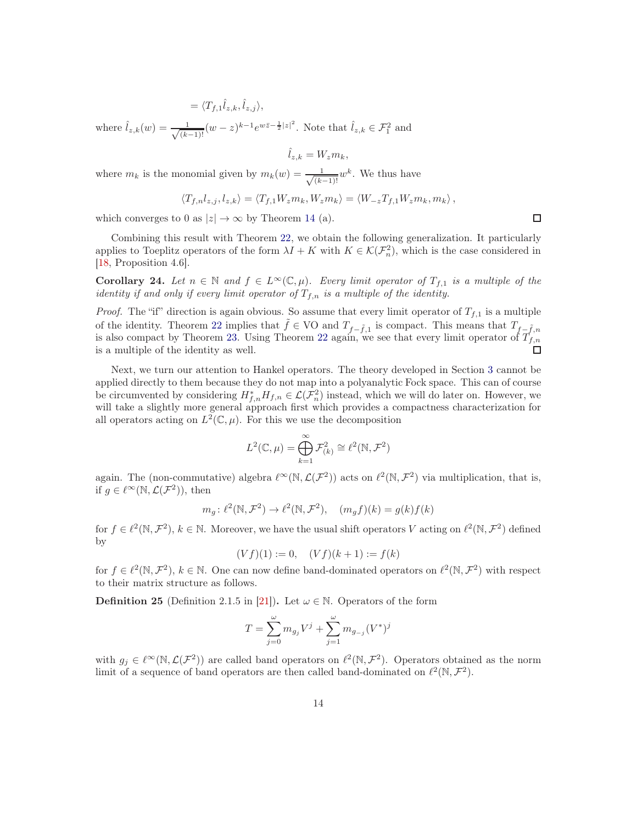$= \langle T_{f,1} \hat{l}_{z,k}, \hat{l}_{z,j} \rangle,$ 

where  $\hat{l}_{z,k}(w) = \frac{1}{\sqrt{(k-1)}}$  $\frac{1}{(k-1)!}(w-z)^{k-1}e^{w\bar{z}-\frac{1}{2}|z|^2}$ . Note that  $\hat{l}_{z,k} \in \mathcal{F}_1^2$  and

$$
\hat{l}_{z,k} = W_z m_k,
$$

where  $m_k$  is the monomial given by  $m_k(w) = \frac{1}{\sqrt{k}}$  $\frac{1}{(k-1)!}w^k$ . We thus have

$$
\langle T_{f,n}l_{z,j},l_{z,k}\rangle=\langle T_{f,1}W_{z}m_{k},W_{z}m_{k}\rangle=\langle W_{-z}T_{f,1}W_{z}m_{k},m_{k}\rangle\,,
$$

which converges to 0 as  $|z| \to \infty$  by Theorem [14](#page-7-0) (a).

Combining this result with Theorem [22,](#page-12-0) we obtain the following generalization. It particularly applies to Toeplitz operators of the form  $\lambda I + K$  with  $K \in \mathcal{K}(\mathcal{F}_n^2)$ , which is the case considered in [\[18,](#page-19-8) Proposition 4.6].

Corollary 24. Let  $n \in \mathbb{N}$  and  $f \in L^{\infty}(\mathbb{C}, \mu)$ . Every limit operator of  $T_{f,1}$  is a multiple of the identity if and only if every limit operator of  $T_{f,n}$  is a multiple of the identity.

*Proof.* The "if" direction is again obvious. So assume that every limit operator of  $T_{f,1}$  is a multiple of the identity. Theorem [22](#page-12-0) implies that  $\tilde{f} \in \text{VO}$  and  $T_{f-\tilde{f},1}$  is compact. This means that  $T_{f-\tilde{f},n}$ is also compact by Theorem [23.](#page-12-1) Using Theorem [22](#page-12-0) again, we see that every limit operator of  $T_{f,n}$ is a multiple of the identity as well.  $\Box$ 

Next, we turn our attention to Hankel operators. The theory developed in Section [3](#page-6-5) cannot be applied directly to them because they do not map into a polyanalytic Fock space. This can of course be circumvented by considering  $H_{f,n}^*H_{f,n} \in \mathcal{L}(\mathcal{F}_n^2)$  instead, which we will do later on. However, we will take a slightly more general approach first which provides a compactness characterization for all operators acting on  $L^2(\mathbb{C}, \mu)$ . For this we use the decomposition

$$
L^2(\mathbb{C}, \mu) = \bigoplus_{k=1}^{\infty} \mathcal{F}_{(k)}^2 \cong \ell^2(\mathbb{N}, \mathcal{F}^2)
$$

again. The (non-commutative) algebra  $\ell^{\infty}(\mathbb{N}, \mathcal{L}(\mathcal{F}^2))$  acts on  $\ell^2(\mathbb{N}, \mathcal{F}^2)$  via multiplication, that is, if  $g \in \ell^{\infty}(\mathbb{N}, \mathcal{L}(\mathcal{F}^2))$ , then

$$
m_g: \ell^2(\mathbb{N}, \mathcal{F}^2) \to \ell^2(\mathbb{N}, \mathcal{F}^2), \quad (m_g f)(k) = g(k) f(k)
$$

for  $f \in \ell^2(\mathbb{N}, \mathcal{F}^2)$ ,  $k \in \mathbb{N}$ . Moreover, we have the usual shift operators V acting on  $\ell^2(\mathbb{N}, \mathcal{F}^2)$  defined by

$$
(Vf)(1) := 0, \quad (Vf)(k+1) := f(k)
$$

for  $f \in \ell^2(\mathbb{N}, \mathcal{F}^2)$ ,  $k \in \mathbb{N}$ . One can now define band-dominated operators on  $\ell^2(\mathbb{N}, \mathcal{F}^2)$  with respect to their matrix structure as follows.

**Definition 25** (Definition 2.1.5 in [\[21\]](#page-19-10)). Let  $\omega \in \mathbb{N}$ . Operators of the form

$$
T = \sum_{j=0}^{\omega} m_{g_j} V^j + \sum_{j=1}^{\omega} m_{g_{-j}} (V^*)^j
$$

with  $g_j \in \ell^{\infty}(\mathbb{N}, \mathcal{L}(\mathcal{F}^2))$  are called band operators on  $\ell^2(\mathbb{N}, \mathcal{F}^2)$ . Operators obtained as the norm limit of a sequence of band operators are then called band-dominated on  $\ell^2(\mathbb{N}, \mathcal{F}^2)$ .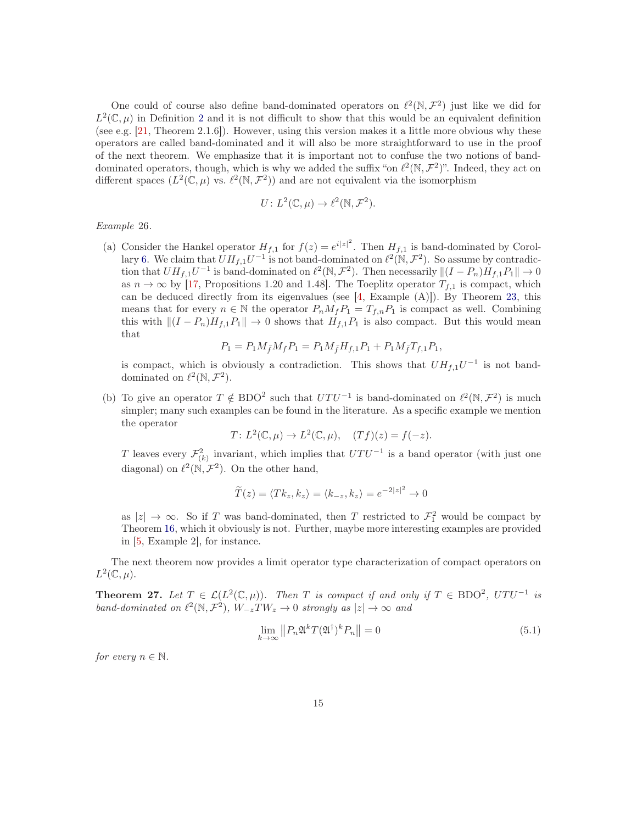One could of course also define band-dominated operators on  $\ell^2(\mathbb{N}, \mathcal{F}^2)$  just like we did for  $L^2(\mathbb{C},\mu)$  $L^2(\mathbb{C},\mu)$  $L^2(\mathbb{C},\mu)$  in Definition 2 and it is not difficult to show that this would be an equivalent definition (see e.g. [\[21,](#page-19-10) Theorem 2.1.6]). However, using this version makes it a little more obvious why these operators are called band-dominated and it will also be more straightforward to use in the proof of the next theorem. We emphasize that it is important not to confuse the two notions of banddominated operators, though, which is why we added the suffix "on  $\ell^2(\mathbb{N}, \mathcal{F}^2)$ ". Indeed, they act on different spaces  $(L^2(\mathbb{C}, \mu)$  vs.  $\ell^2(\mathbb{N}, \mathcal{F}^2))$  and are not equivalent via the isomorphism

$$
U: L^2(\mathbb{C}, \mu) \to \ell^2(\mathbb{N}, \mathcal{F}^2).
$$

Example 26.

(a) Consider the Hankel operator  $H_{f,1}$  for  $f(z) = e^{i|z|^2}$ . Then  $H_{f,1}$  is band-dominated by Corol-lary [6.](#page-5-3) We claim that  $UH_{f,1}U^{-1}$  is not band-dominated on  $\ell^2(\mathbb{N}, \mathcal{F}^2)$ . So assume by contradiction that  $U H_{f,1} U^{-1}$  is band-dominated on  $\ell^2(\mathbb{N}, \mathcal{F}^2)$ . Then necessarily  $\|(I - P_n) H_{f,1} P_1\| \to 0$ as  $n \to \infty$  by [\[17,](#page-19-11) Propositions 1.20 and 1.48]. The Toeplitz operator  $T_{f,1}$  is compact, which can be deduced directly from its eigenvalues (see [\[4,](#page-18-12) Example (A)]). By Theorem [23,](#page-12-1) this means that for every  $n \in \mathbb{N}$  the operator  $P_n M_f P_1 = T_{f,n} P_1$  is compact as well. Combining this with  $||(I - P_n)H_{f,1}P_1|| \to 0$  shows that  $H_{f,1}P_1$  is also compact. But this would mean that

$$
P_1 = P_1 M_{\bar{f}} M_f P_1 = P_1 M_{\bar{f}} H_{f,1} P_1 + P_1 M_{\bar{f}} T_{f,1} P_1,
$$

is compact, which is obviously a contradiction. This shows that  $U H_{f,1} U^{-1}$  is not banddominated on  $\ell^2(\mathbb{N}, \mathcal{F}^2)$ .

(b) To give an operator  $T \notin BDO^2$  such that  $UTU^{-1}$  is band-dominated on  $\ell^2(\mathbb{N}, \mathcal{F}^2)$  is much simpler; many such examples can be found in the literature. As a specific example we mention the operator

$$
T: L^{2}(\mathbb{C}, \mu) \to L^{2}(\mathbb{C}, \mu), \quad (Tf)(z) = f(-z).
$$

T leaves every  $\mathcal{F}_{(k)}^2$  invariant, which implies that  $UTU^{-1}$  is a band operator (with just one diagonal) on  $\ell^2(\mathbb{N}, \mathcal{F}^2)$ . On the other hand,

$$
\widetilde{T}(z) = \langle Tk_z, k_z \rangle = \langle k_{-z}, k_z \rangle = e^{-2|z|^2} \to 0
$$

as  $|z| \to \infty$ . So if T was band-dominated, then T restricted to  $\mathcal{F}_1^2$  would be compact by Theorem [16,](#page-9-2) which it obviously is not. Further, maybe more interesting examples are provided in [\[5,](#page-18-5) Example 2], for instance.

The next theorem now provides a limit operator type characterization of compact operators on  $L^2(\mathbb{C},\mu).$ 

<span id="page-14-1"></span>**Theorem 27.** Let  $T \in \mathcal{L}(L^2(\mathbb{C}, \mu))$ . Then T is compact if and only if  $T \in \text{BDO}^2$ ,  $UTU^{-1}$  is band-dominated on  $\ell^2(\mathbb{N}, \mathcal{F}^2)$ ,  $W_{-z}TW_z \to 0$  strongly as  $|z| \to \infty$  and

<span id="page-14-0"></span>
$$
\lim_{k \to \infty} ||P_n \mathfrak{A}^k T (\mathfrak{A}^\dagger)^k P_n|| = 0 \tag{5.1}
$$

for every  $n \in \mathbb{N}$ .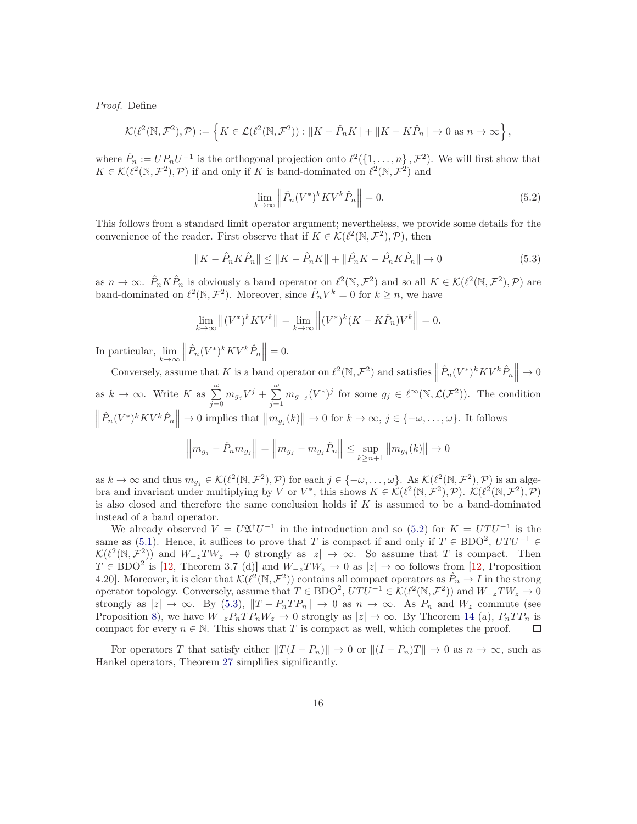Proof. Define

$$
\mathcal{K}(\ell^2(\mathbb{N},\mathcal{F}^2),\mathcal{P}) := \left\{ K \in \mathcal{L}(\ell^2(\mathbb{N},\mathcal{F}^2)) : \|K - \hat{P}_n K\| + \|K - K\hat{P}_n\| \to 0 \text{ as } n \to \infty \right\},\
$$

where  $\hat{P}_n := UP_n U^{-1}$  is the orthogonal projection onto  $\ell^2(\{1,\ldots,n\},\mathcal{F}^2)$ . We will first show that  $K \in \mathcal{K}(\ell^2(\mathbb{N}, \mathcal{F}^2), \mathcal{P})$  if and only if K is band-dominated on  $\ell^2(\mathbb{N}, \mathcal{F}^2)$  and

<span id="page-15-0"></span>
$$
\lim_{k \to \infty} \left\| \hat{P}_n (V^*)^k K V^k \hat{P}_n \right\| = 0. \tag{5.2}
$$

This follows from a standard limit operator argument; nevertheless, we provide some details for the convenience of the reader. First observe that if  $K \in \mathcal{K}(\ell^2(\mathbb{N}, \mathcal{F}^2), \mathcal{P})$ , then

<span id="page-15-1"></span>
$$
||K - \hat{P}_n K \hat{P}_n|| \le ||K - \hat{P}_n K|| + ||\hat{P}_n K - \hat{P}_n K \hat{P}_n|| \to 0
$$
\n(5.3)

as  $n \to \infty$ .  $\hat{P}_n K \hat{P}_n$  is obviously a band operator on  $\ell^2(\mathbb{N}, \mathcal{F}^2)$  and so all  $K \in \mathcal{K}(\ell^2(\mathbb{N}, \mathcal{F}^2), \mathcal{P})$  are band-dominated on  $\ell^2(\mathbb{N}, \mathcal{F}^2)$ . Moreover, since  $\hat{P}_n V^k = 0$  for  $k \ge n$ , we have

$$
\lim_{k \to \infty} \left\| (V^*)^k K V^k \right\| = \lim_{k \to \infty} \left\| (V^*)^k (K - K \hat{P}_n) V^k \right\| = 0.
$$

In particular,  $\lim_{k \to \infty} \left\| \hat{P}_n(V^*)^k K V^k \hat{P}_n \right\| = 0.$  $k\rightarrow\infty$ 

Conversely, assume that K is a band operator on  $\ell^2(\mathbb{N}, \mathcal{F}^2)$  and satisfies  $\left\|\hat{P}_n(V^*)^kKV^k\hat{P}_n\right\|\to 0$ as  $k \to \infty$ . Write K as  $\sum_{j=0}^{\omega} m_{g_j} V^j + \sum_{j=1}^{\omega}$  $\sum_{j=1}^{n} m_{g_{-j}}(V^*)^j$  for some  $g_j \in \ell^{\infty}(\mathbb{N}, \mathcal{L}(\mathcal{F}^2))$ . The condition  $\left\|\hat{P}_n(V^*)^k K V^k \hat{P}_n\right\| \to 0$  implies that  $\left\|m_{g_j}(k)\right\| \to 0$  for  $k \to \infty$ ,  $j \in \{-\omega, \ldots, \omega\}$ . It follows

$$
\left\| m_{g_j} - \hat{P}_n m_{g_j} \right\| = \left\| m_{g_j} - m_{g_j} \hat{P}_n \right\| \le \sup_{k \ge n+1} \left\| m_{g_j}(k) \right\| \to 0
$$

as  $k \to \infty$  and thus  $m_{g_j} \in \mathcal{K}(\ell^2(\mathbb{N}, \mathcal{F}^2), \mathcal{P})$  for each  $j \in \{-\omega, \ldots, \omega\}$ . As  $\mathcal{K}(\ell^2(\mathbb{N}, \mathcal{F}^2), \mathcal{P})$  is an algebra and invariant under multiplying by V or  $V^*$ , this shows  $K \in \mathcal{K}(\ell^2(\mathbb{N}, \mathcal{F}^2), \mathcal{P})$ .  $\mathcal{K}(\ell^2(\mathbb{N}, \mathcal{F}^2), \mathcal{P})$ is also closed and therefore the same conclusion holds if  $K$  is assumed to be a band-dominated instead of a band operator.

We already observed  $V = U \mathfrak{A}^{\dagger} U^{-1}$  in the introduction and so [\(5.2\)](#page-15-0) for  $K = UTU^{-1}$  is the same as [\(5.1\)](#page-14-0). Hence, it suffices to prove that T is compact if and only if  $T \in BDO^2$ ,  $UTU^{-1} \in$  $\mathcal{K}(\ell^2(\mathbb{N},\mathcal{F}^2))$  and  $W_{-z}TW_z \to 0$  strongly as  $|z| \to \infty$ . So assume that T is compact. Then  $T \in BDO<sup>2</sup>$  is [\[12,](#page-18-9) Theorem 3.7 (d)] and  $W_{-z}TW_z \to 0$  as  $|z| \to \infty$  follows from [12, Proposition 4.20]. Moreover, it is clear that  $\mathcal{K}(\ell^2(\mathbb{N}, \mathcal{F}^2))$  contains all compact operators as  $\hat{P}_n \to I$  in the strong operator topology. Conversely, assume that  $T \in \text{BDO}^2$ ,  $UTU^{-1} \in \mathcal{K}(\ell^2(\mathbb{N}, \mathcal{F}^2))$  and  $W_{-z}TW_z \to 0$ strongly as  $|z| \to \infty$ . By [\(5.3\)](#page-15-1),  $||T - P_n T P_n|| \to 0$  as  $n \to \infty$ . As  $P_n$  and  $W_z$  commute (see Proposition [8\)](#page-6-0), we have  $W_{-z}P_nTP_nW_z \to 0$  strongly as  $|z| \to \infty$ . By Theorem [14](#page-7-0) (a),  $P_nTP_n$  is compact for every  $n \in \mathbb{N}$ . This shows that T is compact as well, which completes the proof.

For operators T that satisfy either  $||T(I - P_n)|| \to 0$  or  $||(I - P_n)T|| \to 0$  as  $n \to \infty$ , such as Hankel operators, Theorem [27](#page-14-1) simplifies significantly.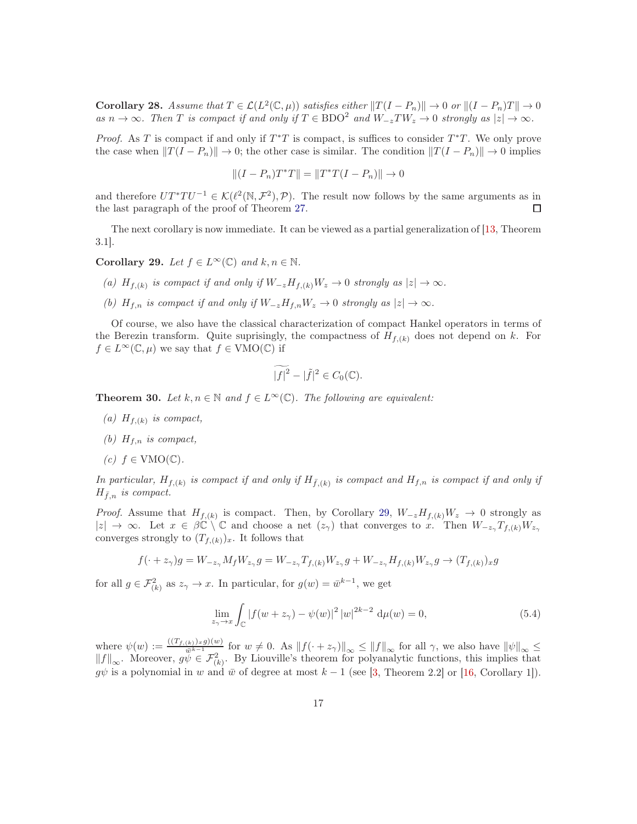**Corollary 28.** Assume that  $T \in \mathcal{L}(L^2(\mathbb{C}, \mu))$  satisfies either  $||T(I - P_n)|| \to 0$  or  $||(I - P_n)T|| \to 0$ as  $n \to \infty$ . Then T is compact if and only if  $T \in \text{BDO}^2$  and  $W_{-z}TW_z \to 0$  strongly as  $|z| \to \infty$ .

*Proof.* As T is compact if and only if  $T^*T$  is compact, is suffices to consider  $T^*T$ . We only prove the case when  $||T (I - P_n)|| \rightarrow 0$ ; the other case is similar. The condition  $||T (I - P_n)|| \rightarrow 0$  implies

$$
||(I - P_n)T^*T|| = ||T^*T(I - P_n)|| \to 0
$$

and therefore  $UT^*TU^{-1} \in \mathcal{K}(\ell^2(\mathbb{N}, \mathcal{F}^2), \mathcal{P})$ . The result now follows by the same arguments as in the last paragraph of the proof of Theorem [27.](#page-14-1)

The next corollary is now immediate. It can be viewed as a partial generalization of [\[13,](#page-18-6) Theorem 3.1].

<span id="page-16-0"></span>Corollary 29. Let  $f \in L^{\infty}(\mathbb{C})$  and  $k, n \in \mathbb{N}$ .

- (a)  $H_{f,(k)}$  is compact if and only if  $W_{-z}H_{f,(k)}W_z \to 0$  strongly as  $|z| \to \infty$ .
- (b)  $H_{f,n}$  is compact if and only if  $W_{-z}H_{f,n}W_z \to 0$  strongly as  $|z| \to \infty$ .

Of course, we also have the classical characterization of compact Hankel operators in terms of the Berezin transform. Quite suprisingly, the compactness of  $H_{f,(k)}$  does not depend on k. For  $f \in L^{\infty}(\mathbb{C}, \mu)$  we say that  $f \in VMO(\mathbb{C})$  if

$$
\widetilde{\left|f\right|^2} - |\tilde{f}|^2 \in C_0(\mathbb{C}).
$$

<span id="page-16-2"></span>**Theorem 30.** Let  $k, n \in \mathbb{N}$  and  $f \in L^{\infty}(\mathbb{C})$ . The following are equivalent:

- (a)  $H_{f,(k)}$  is compact,
- (b)  $H_{f,n}$  is compact,
- $(c)$   $f \in VMO(\mathbb{C})$ .

In particular,  $H_{f,(k)}$  is compact if and only if  $H_{\bar{f},(k)}$  is compact and  $H_{f,n}$  is compact if and only if  $H_{\bar{f},n}$  is compact.

*Proof.* Assume that  $H_{f,(k)}$  is compact. Then, by Corollary [29,](#page-16-0)  $W_{-z}H_{f,(k)}W_z \rightarrow 0$  strongly as  $|z| \to \infty$ . Let  $x \in \beta \mathbb{C} \setminus \mathbb{C}$  and choose a net  $(z_{\gamma})$  that converges to x. Then  $W_{-z_{\gamma}}T_{f,(k)}W_{z_{\gamma}}$ converges strongly to  $(T_{f,(k)})_x$ . It follows that

$$
f(\cdot+z_{\gamma})g=W_{-z_{\gamma}}M_{f}W_{z_{\gamma}}g=W_{-z_{\gamma}}T_{f,(k)}W_{z_{\gamma}}g+W_{-z_{\gamma}}H_{f,(k)}W_{z_{\gamma}}g\rightarrow (T_{f,(k)})_{x}g
$$

for all  $g \in \mathcal{F}_{(k)}^2$  as  $z_\gamma \to x$ . In particular, for  $g(w) = \bar{w}^{k-1}$ , we get

<span id="page-16-1"></span>
$$
\lim_{z_{\gamma} \to x} \int_{\mathbb{C}} |f(w + z_{\gamma}) - \psi(w)|^2 |w|^{2k - 2} d\mu(w) = 0,
$$
\n(5.4)

where  $\psi(w) := \frac{((T_{f,(k)})_x g)(w)}{\psi^{k-1}}$  for  $w \neq 0$ . As  $||f(\cdot + z_\gamma)||_{\infty} \le ||f||_{\infty}$  for all  $\gamma$ , we also have  $||\psi||_{\infty} \le ||f||_{\infty}$  $||f||_{\infty}$ . Moreover,  $g\psi \in \mathcal{F}_{(k)}^2$ . By Liouville's theorem for polyanalytic functions, this implies that  $g\psi$  is a polynomial in w and  $\bar{w}$  of degree at most  $k - 1$  (see [\[3,](#page-18-0) Theorem 2.2] or [\[16,](#page-19-12) Corollary 1]).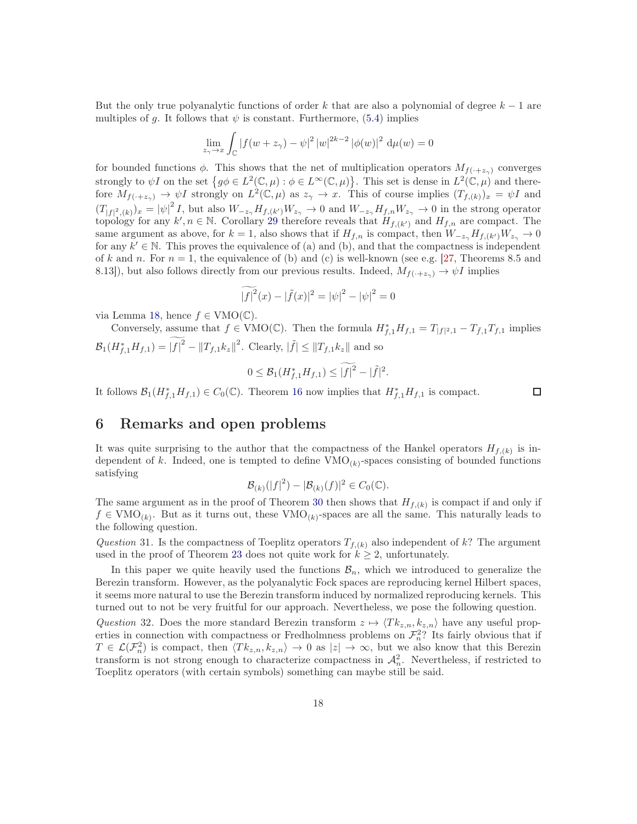But the only true polyanalytic functions of order k that are also a polynomial of degree  $k-1$  are multiples of g. It follows that  $\psi$  is constant. Furthermore, [\(5.4\)](#page-16-1) implies

$$
\lim_{z_{\gamma} \to x} \int_{\mathbb{C}} |f(w + z_{\gamma}) - \psi|^2 |w|^{2k - 2} |\phi(w)|^2 d\mu(w) = 0
$$

for bounded functions  $\phi$ . This shows that the net of multiplication operators  $M_{f(+z)}$  converges strongly to  $\psi I$  on the set  $\{g\phi \in L^2(\mathbb{C},\mu) : \phi \in L^\infty(\mathbb{C},\mu)\}$ . This set is dense in  $L^2(\mathbb{C},\mu)$  and therefore  $M_{f(\cdot+z_{\gamma})} \to \psi I$  strongly on  $L^2(\mathbb{C},\mu)$  as  $z_{\gamma} \to x$ . This of course implies  $(T_{f,(k)})_x = \psi I$  and  $(T_{|f|^2,(k)})_x = |\psi|^2 I$ , but also  $W_{-z_7}H_{f,(k')}W_{z_7} \to 0$  and  $W_{-z_7}H_{f,n}W_{z_7} \to 0$  in the strong operator topology for any  $k', n \in \mathbb{N}$ . Corollary [29](#page-16-0) therefore reveals that  $H_{f,(k')}$  and  $H_{f,n}$  are compact. The same argument as above, for  $k = 1$ , also shows that if  $H_{f,n}$  is compact, then  $W_{-z_{\gamma}}H_{f,(k')}\overline{W_{z_{\gamma}}}\to 0$ for any  $k' \in \mathbb{N}$ . This proves the equivalence of (a) and (b), and that the compactness is independent of k and n. For  $n = 1$ , the equivalence of (b) and (c) is well-known (see e.g. [\[27,](#page-19-13) Theorems 8.5 and 8.13]), but also follows directly from our previous results. Indeed,  $M_{f(\cdot+z_{\gamma})} \to \psi I$  implies

$$
\widetilde{|f|^2}(x) - |\widetilde{f}(x)|^2 = |\psi|^2 - |\psi|^2 = 0
$$

via Lemma [18,](#page-10-0) hence  $f \in VMO(\mathbb{C})$ .

Conversely, assume that  $f \in VMO(\mathbb{C})$ . Then the formula  $H_{f,1}^*H_{f,1} = T_{|f|^2,1} - T_{\bar{f},1}T_{f,1}$  implies  $\mathcal{B}_1(H_{f,1}^*H_{f,1}) = |f|^2 - ||T_{f,1}k_z||^2$ . Clearly,  $|\tilde{f}| \le ||T_{f,1}k_z||$  and so

$$
0 \leq \mathcal{B}_1(H_{f,1}^* H_{f,1}) \leq |f|^2 - |\tilde{f}|^2.
$$

It follows  $\mathcal{B}_1(H_{f,1}^*H_{f,1}) \in C_0(\mathbb{C})$ . Theorem [16](#page-9-2) now implies that  $H_{f,1}^*H_{f,1}$  is compact.

#### $\Box$

### 6 Remarks and open problems

It was quite surprising to the author that the compactness of the Hankel operators  $H_{f,(k)}$  is independent of k. Indeed, one is tempted to define  $VMO_{(k)}$ -spaces consisting of bounded functions satisfying

$$
\mathcal{B}_{(k)}(|f|^2) - |\mathcal{B}_{(k)}(f)|^2 \in C_0(\mathbb{C}).
$$

The same argument as in the proof of Theorem [30](#page-16-2) then shows that  $H_{f,(k)}$  is compact if and only if  $f \in VMO_{(k)}$ . But as it turns out, these  $VMO_{(k)}$ -spaces are all the same. This naturally leads to the following question.

Question 31. Is the compactness of Toeplitz operators  $T_{f,(k)}$  also independent of k? The argument used in the proof of Theorem [23](#page-12-1) does not quite work for  $k \geq 2$ , unfortunately.

In this paper we quite heavily used the functions  $B_n$ , which we introduced to generalize the Berezin transform. However, as the polyanalytic Fock spaces are reproducing kernel Hilbert spaces, it seems more natural to use the Berezin transform induced by normalized reproducing kernels. This turned out to not be very fruitful for our approach. Nevertheless, we pose the following question.

Question 32. Does the more standard Berezin transform  $z \mapsto \langle Tk_{z,n}, k_{z,n} \rangle$  have any useful properties in connection with compactness or Fredholmness problems on  $\mathcal{F}_n^2$ ? Its fairly obvious that if  $T \in \mathcal{L}(\mathcal{F}_n^2)$  is compact, then  $\langle Tk_{z,n}, k_{z,n} \rangle \to 0$  as  $|z| \to \infty$ , but we also know that this Berezin transform is not strong enough to characterize compactness in  $\mathcal{A}_n^2$ . Nevertheless, if restricted to Toeplitz operators (with certain symbols) something can maybe still be said.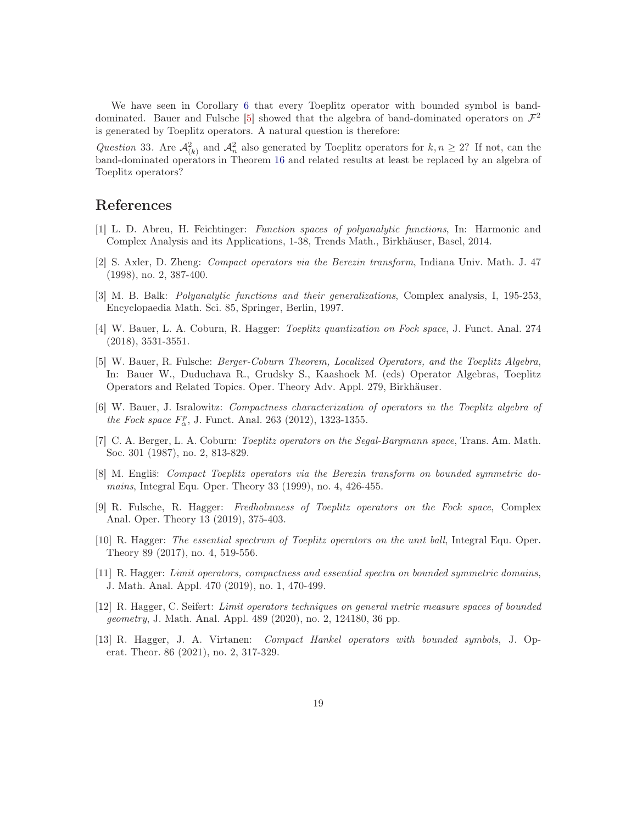We have seen in Corollary [6](#page-5-3) that every Toeplitz operator with bounded symbol is band-dominated. Bauer and Fulsche [\[5\]](#page-18-5) showed that the algebra of band-dominated operators on  $\mathcal{F}^2$ is generated by Toeplitz operators. A natural question is therefore:

Question 33. Are  $\mathcal{A}_{(k)}^2$  and  $\mathcal{A}_n^2$  also generated by Toeplitz operators for  $k, n \geq 2$ ? If not, can the band-dominated operators in Theorem [16](#page-9-2) and related results at least be replaced by an algebra of Toeplitz operators?

## <span id="page-18-1"></span>References

- <span id="page-18-2"></span>[1] L. D. Abreu, H. Feichtinger: Function spaces of polyanalytic functions, In: Harmonic and Complex Analysis and its Applications, 1-38, Trends Math., Birkhäuser, Basel, 2014.
- [2] S. Axler, D. Zheng: Compact operators via the Berezin transform, Indiana Univ. Math. J. 47 (1998), no. 2, 387-400.
- <span id="page-18-12"></span><span id="page-18-0"></span>[3] M. B. Balk: Polyanalytic functions and their generalizations, Complex analysis, I, 195-253, Encyclopaedia Math. Sci. 85, Springer, Berlin, 1997.
- [4] W. Bauer, L. A. Coburn, R. Hagger: Toeplitz quantization on Fock space, J. Funct. Anal. 274 (2018), 3531-3551.
- <span id="page-18-5"></span>[5] W. Bauer, R. Fulsche: Berger-Coburn Theorem, Localized Operators, and the Toeplitz Algebra, In: Bauer W., Duduchava R., Grudsky S., Kaashoek M. (eds) Operator Algebras, Toeplitz Operators and Related Topics. Oper. Theory Adv. Appl. 279, Birkhäuser.
- <span id="page-18-10"></span>[6] W. Bauer, J. Isralowitz: Compactness characterization of operators in the Toeplitz algebra of the Fock space  $F_{\alpha}^{p}$ , J. Funct. Anal. 263 (2012), 1323-1355.
- <span id="page-18-11"></span>[7] C. A. Berger, L. A. Coburn: Toeplitz operators on the Segal-Bargmann space, Trans. Am. Math. Soc. 301 (1987), no. 2, 813-829.
- <span id="page-18-3"></span>[8] M. Engliš: Compact Toeplitz operators via the Berezin transform on bounded symmetric domains, Integral Equ. Oper. Theory 33 (1999), no. 4, 426-455.
- <span id="page-18-4"></span>[9] R. Fulsche, R. Hagger: Fredholmness of Toeplitz operators on the Fock space, Complex Anal. Oper. Theory 13 (2019), 375-403.
- <span id="page-18-8"></span>[10] R. Hagger: The essential spectrum of Toeplitz operators on the unit ball, Integral Equ. Oper. Theory 89 (2017), no. 4, 519-556.
- <span id="page-18-7"></span>[11] R. Hagger: Limit operators, compactness and essential spectra on bounded symmetric domains, J. Math. Anal. Appl. 470 (2019), no. 1, 470-499.
- <span id="page-18-9"></span>[12] R. Hagger, C. Seifert: Limit operators techniques on general metric measure spaces of bounded geometry, J. Math. Anal. Appl. 489 (2020), no. 2, 124180, 36 pp.
- <span id="page-18-6"></span>[13] R. Hagger, J. A. Virtanen: Compact Hankel operators with bounded symbols, J. Operat. Theor. 86 (2021), no. 2, 317-329.